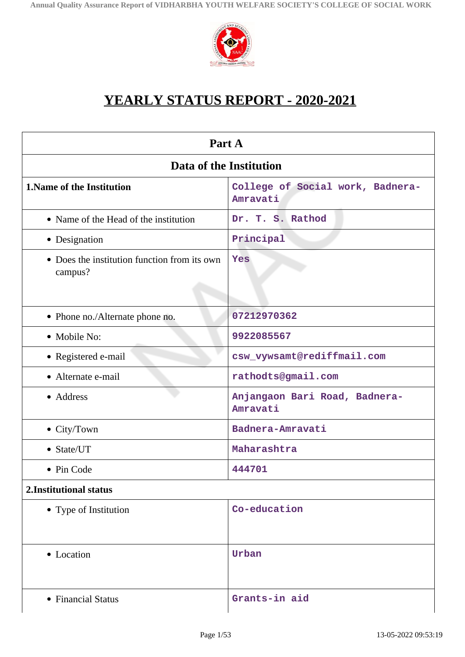

# **YEARLY STATUS REPORT - 2020-2021**

| Part A                                                  |                                              |  |
|---------------------------------------------------------|----------------------------------------------|--|
| Data of the Institution                                 |                                              |  |
| <b>1. Name of the Institution</b>                       | College of Social work, Badnera-<br>Amravati |  |
| • Name of the Head of the institution                   | Dr. T. S. Rathod                             |  |
| • Designation                                           | Principal                                    |  |
| • Does the institution function from its own<br>campus? | Yes                                          |  |
| • Phone no./Alternate phone no.                         | 07212970362                                  |  |
| • Mobile No:                                            | 9922085567                                   |  |
| • Registered e-mail                                     | csw_vywsamt@rediffmail.com                   |  |
| • Alternate e-mail                                      | rathodts@gmail.com                           |  |
| • Address                                               | Anjangaon Bari Road, Badnera-<br>Amravati    |  |
| $\bullet$ City/Town                                     | Badnera-Amravati                             |  |
| • State/UT                                              | Maharashtra                                  |  |
| • Pin Code                                              | 444701                                       |  |
| 2.Institutional status                                  |                                              |  |
| • Type of Institution                                   | Co-education                                 |  |
| • Location                                              | Urban                                        |  |
| • Financial Status                                      | Grants-in aid                                |  |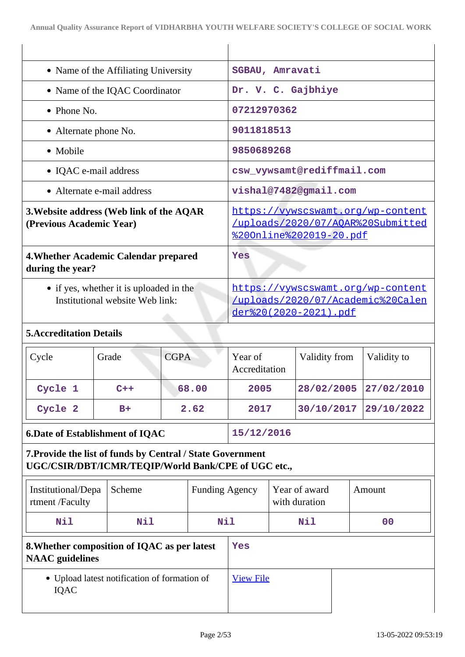| • Name of the Affiliating University                                       | SGBAU, Amravati                                                                                 |                                                                                                           |             |
|----------------------------------------------------------------------------|-------------------------------------------------------------------------------------------------|-----------------------------------------------------------------------------------------------------------|-------------|
| • Name of the IQAC Coordinator                                             | Dr. V. C. Gajbhiye                                                                              |                                                                                                           |             |
| • Phone No.                                                                | 07212970362                                                                                     |                                                                                                           |             |
| • Alternate phone No.                                                      | 9011818513                                                                                      |                                                                                                           |             |
| • Mobile                                                                   | 9850689268                                                                                      |                                                                                                           |             |
| • IQAC e-mail address                                                      |                                                                                                 | csw_vywsamt@rediffmail.com                                                                                |             |
| • Alternate e-mail address                                                 | vishal@7482@gmail.com                                                                           |                                                                                                           |             |
| 3. Website address (Web link of the AQAR<br>(Previous Academic Year)       |                                                                                                 | https://vywscswamt.org/wp-content<br>/uploads/2020/07/AOAR%20Submitted<br><u> %200nline%202019-20.pdf</u> |             |
| 4. Whether Academic Calendar prepared<br>during the year?                  | Yes                                                                                             |                                                                                                           |             |
| • if yes, whether it is uploaded in the<br>Institutional website Web link: | https://vywscswamt.org/wp-content<br>/uploads/2020/07/Academic%20Calen<br>der%20(2020-2021).pdf |                                                                                                           |             |
| <b>5. Accreditation Details</b>                                            |                                                                                                 |                                                                                                           |             |
| CGPA<br>$C$ <sub>VC</sub> $\geq$<br>Grade                                  | Year of                                                                                         | Validity from                                                                                             | Validity to |

| $\vert$ Cycle | Grade | CGPA  | Year of<br>Accreditation | Validity from         | Validity to |
|---------------|-------|-------|--------------------------|-----------------------|-------------|
| Cycle 1       | $C++$ | 68.00 | 2005                     | 28/02/2005 27/02/2010 |             |
| Cycle 2       | $B+$  | 2.62  | 2017                     | 30/10/2017 29/10/2022 |             |

# **6.Date of Establishment of IQAC 15/12/2016**

# **7.Provide the list of funds by Central / State Government UGC/CSIR/DBT/ICMR/TEQIP/World Bank/CPE of UGC etc.,**

| Institutional/Depa<br>rtment/Faculty                                   | Scheme     | <b>Funding Agency</b> |  | Year of award<br>with duration | Amount         |
|------------------------------------------------------------------------|------------|-----------------------|--|--------------------------------|----------------|
| N11                                                                    | <b>Nil</b> | Nil                   |  | Nil                            | 0 <sup>0</sup> |
| 8. Whether composition of IQAC as per latest<br><b>NAAC</b> guidelines |            | Yes                   |  |                                |                |
| • Upload latest notification of formation of<br>IQAC                   |            | <b>View File</b>      |  |                                |                |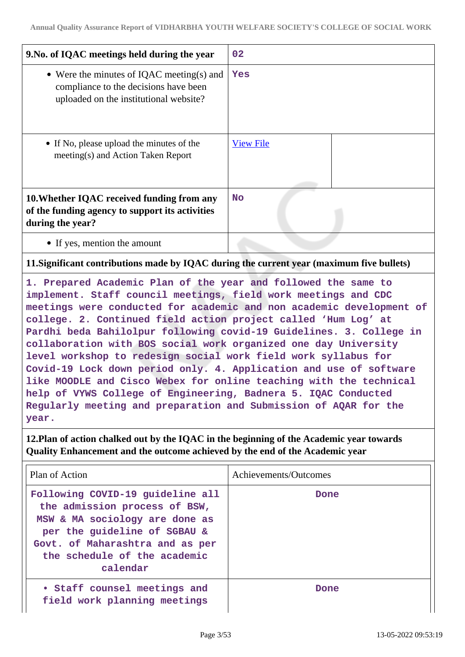| 9. No. of IQAC meetings held during the year                                                                                 | 02               |
|------------------------------------------------------------------------------------------------------------------------------|------------------|
| • Were the minutes of IQAC meeting(s) and<br>compliance to the decisions have been<br>uploaded on the institutional website? | Yes              |
| • If No, please upload the minutes of the<br>meeting(s) and Action Taken Report                                              | <b>View File</b> |
| 10. Whether IQAC received funding from any<br>of the funding agency to support its activities<br>during the year?            | <b>No</b>        |
| • If yes, mention the amount                                                                                                 |                  |

### **11.Significant contributions made by IQAC during the current year (maximum five bullets)**

**1. Prepared Academic Plan of the year and followed the same to implement. Staff council meetings, field work meetings and CDC meetings were conducted for academic and non academic development of college. 2. Continued field action project called 'Hum Log' at Pardhi beda Bahilolpur following covid-19 Guidelines. 3. College in collaboration with BOS social work organized one day University level workshop to redesign social work field work syllabus for Covid-19 Lock down period only. 4. Application and use of software like MOODLE and Cisco Webex for online teaching with the technical help of VYWS College of Engineering, Badnera 5. IQAC Conducted Regularly meeting and preparation and Submission of AQAR for the year.**

**12.Plan of action chalked out by the IQAC in the beginning of the Academic year towards Quality Enhancement and the outcome achieved by the end of the Academic year**

| Plan of Action                                                                                                                                                                                                     | Achievements/Outcomes |
|--------------------------------------------------------------------------------------------------------------------------------------------------------------------------------------------------------------------|-----------------------|
| Following COVID-19 guideline all<br>the admission process of BSW,<br>MSW & MA sociology are done as<br>per the guideline of SGBAU &<br>Govt. of Maharashtra and as per<br>the schedule of the academic<br>calendar | Done                  |
| • Staff counsel meetings and<br>field work planning meetings                                                                                                                                                       | Done                  |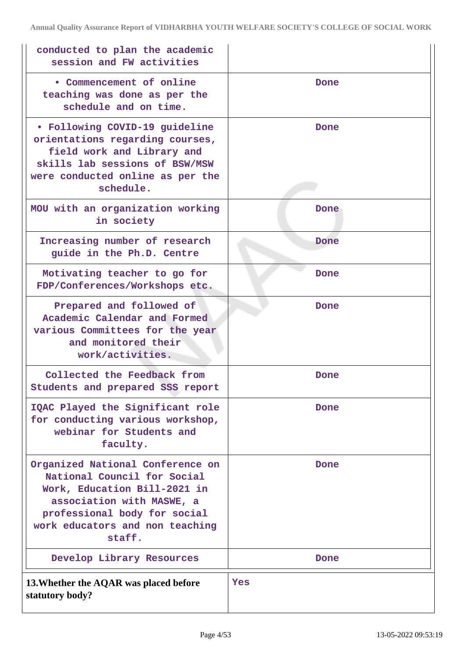| conducted to plan the academic<br>session and FW activities                                                                                                                                               |      |
|-----------------------------------------------------------------------------------------------------------------------------------------------------------------------------------------------------------|------|
| • Commencement of online<br>teaching was done as per the<br>schedule and on time.                                                                                                                         | Done |
| • Following COVID-19 guideline<br>orientations regarding courses,<br>field work and Library and<br>skills lab sessions of BSW/MSW<br>were conducted online as per the<br>schedule.                        | Done |
| MOU with an organization working<br>in society                                                                                                                                                            | Done |
| Increasing number of research<br>guide in the Ph.D. Centre                                                                                                                                                | Done |
| Motivating teacher to go for<br>FDP/Conferences/Workshops etc.                                                                                                                                            | Done |
| Prepared and followed of<br>Academic Calendar and Formed<br>various Committees for the year<br>and monitored their<br>work/activities.                                                                    | Done |
| Collected the Feedback from<br>Students and prepared SSS report                                                                                                                                           | Done |
| IQAC Played the Significant role<br>for conducting various workshop,<br>webinar for Students and<br>faculty.                                                                                              | Done |
| Organized National Conference on<br>National Council for Social<br>Work, Education Bill-2021 in<br>association with MASWE, a<br>professional body for social<br>work educators and non teaching<br>staff. | Done |
| Develop Library Resources                                                                                                                                                                                 | Done |
| 13. Whether the AQAR was placed before<br>statutory body?                                                                                                                                                 | Yes  |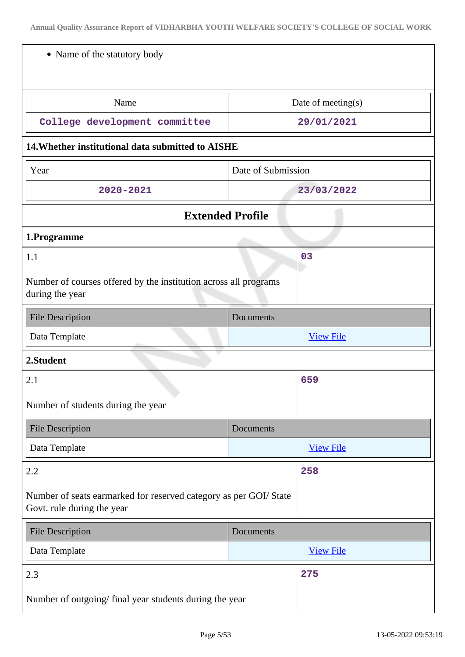| • Name of the statutory body                                                                    |                    |                    |
|-------------------------------------------------------------------------------------------------|--------------------|--------------------|
| Name                                                                                            |                    | Date of meeting(s) |
| College development committee                                                                   |                    | 29/01/2021         |
| 14. Whether institutional data submitted to AISHE                                               |                    |                    |
| Year                                                                                            | Date of Submission |                    |
| 2020-2021                                                                                       |                    | 23/03/2022         |
| <b>Extended Profile</b>                                                                         |                    |                    |
| 1.Programme                                                                                     |                    |                    |
| 1.1                                                                                             |                    | 03                 |
| Number of courses offered by the institution across all programs<br>during the year             |                    |                    |
| <b>File Description</b>                                                                         | Documents          |                    |
| Data Template                                                                                   |                    | <b>View File</b>   |
| 2.Student                                                                                       |                    |                    |
| 2.1                                                                                             |                    | 659                |
|                                                                                                 |                    |                    |
| Number of students during the year                                                              |                    |                    |
| <b>File Description</b>                                                                         | Documents          |                    |
| Data Template                                                                                   |                    | <b>View File</b>   |
| 2.2                                                                                             |                    | 258                |
| Number of seats earmarked for reserved category as per GOI/ State<br>Govt. rule during the year |                    |                    |
| <b>File Description</b>                                                                         | Documents          |                    |
| Data Template                                                                                   |                    | <b>View File</b>   |
| 2.3                                                                                             |                    | 275                |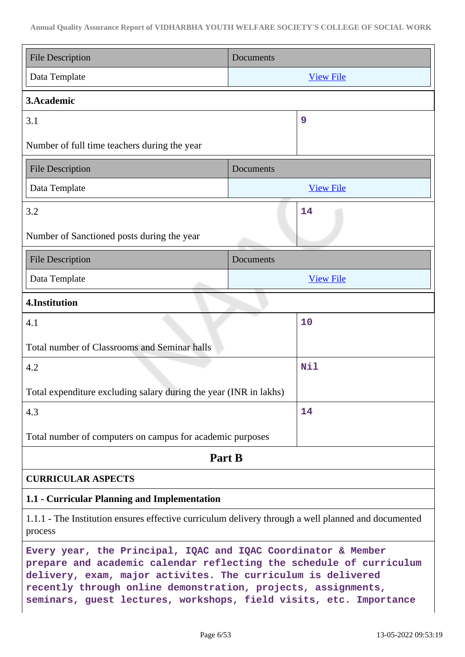| <b>File Description</b>                                                                                                                                                                                                                                                                                                                     | Documents        |  |
|---------------------------------------------------------------------------------------------------------------------------------------------------------------------------------------------------------------------------------------------------------------------------------------------------------------------------------------------|------------------|--|
| Data Template                                                                                                                                                                                                                                                                                                                               | <b>View File</b> |  |
| 3. Academic                                                                                                                                                                                                                                                                                                                                 |                  |  |
| 3.1                                                                                                                                                                                                                                                                                                                                         | 9                |  |
| Number of full time teachers during the year                                                                                                                                                                                                                                                                                                |                  |  |
| <b>File Description</b>                                                                                                                                                                                                                                                                                                                     | Documents        |  |
| Data Template                                                                                                                                                                                                                                                                                                                               | <b>View File</b> |  |
| 3.2                                                                                                                                                                                                                                                                                                                                         | 14               |  |
| Number of Sanctioned posts during the year                                                                                                                                                                                                                                                                                                  |                  |  |
| <b>File Description</b>                                                                                                                                                                                                                                                                                                                     | Documents        |  |
| Data Template                                                                                                                                                                                                                                                                                                                               | <b>View File</b> |  |
| 4.Institution                                                                                                                                                                                                                                                                                                                               |                  |  |
| 4.1                                                                                                                                                                                                                                                                                                                                         | 10               |  |
| Total number of Classrooms and Seminar halls                                                                                                                                                                                                                                                                                                |                  |  |
| 4.2                                                                                                                                                                                                                                                                                                                                         | Nil              |  |
| Total expenditure excluding salary during the year (INR in lakhs)                                                                                                                                                                                                                                                                           |                  |  |
| 4.3                                                                                                                                                                                                                                                                                                                                         | 14               |  |
| Total number of computers on campus for academic purposes                                                                                                                                                                                                                                                                                   |                  |  |
| Part B                                                                                                                                                                                                                                                                                                                                      |                  |  |
| <b>CURRICULAR ASPECTS</b>                                                                                                                                                                                                                                                                                                                   |                  |  |
| 1.1 - Curricular Planning and Implementation                                                                                                                                                                                                                                                                                                |                  |  |
| 1.1.1 - The Institution ensures effective curriculum delivery through a well planned and documented<br>process                                                                                                                                                                                                                              |                  |  |
| Every year, the Principal, IQAC and IQAC Coordinator & Member<br>prepare and academic calendar reflecting the schedule of curriculum<br>delivery, exam, major activites. The curriculum is delivered<br>recently through online demonstration, projects, assignments,<br>seminars, guest lectures, workshops, field visits, etc. Importance |                  |  |

 $\mathbf{I}$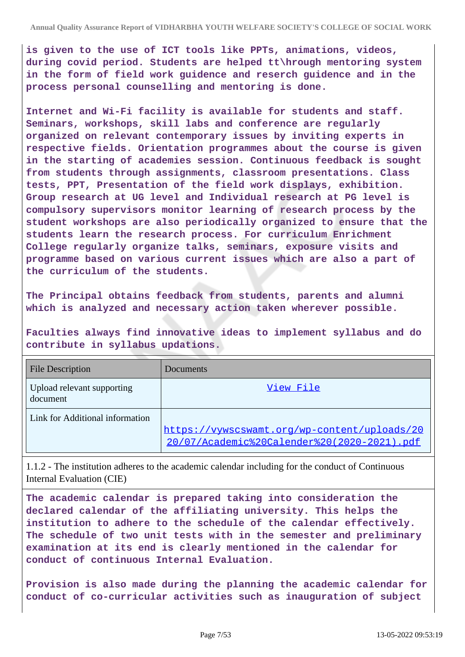**is given to the use of ICT tools like PPTs, animations, videos, during covid period. Students are helped tt\hrough mentoring system in the form of field work guidence and reserch guidence and in the process personal counselling and mentoring is done.**

**Internet and Wi-Fi facility is available for students and staff. Seminars, workshops, skill labs and conference are regularly organized on relevant contemporary issues by inviting experts in respective fields. Orientation programmes about the course is given in the starting of academies session. Continuous feedback is sought from students through assignments, classroom presentations. Class tests, PPT, Presentation of the field work displays, exhibition. Group research at UG level and Individual research at PG level is compulsory supervisors monitor learning of research process by the student workshops are also periodically organized to ensure that the students learn the research process. For curriculum Enrichment College regularly organize talks, seminars, exposure visits and programme based on various current issues which are also a part of the curriculum of the students.**

**The Principal obtains feedback from students, parents and alumni which is analyzed and necessary action taken wherever possible.**

**Faculties always find innovative ideas to implement syllabus and do contribute in syllabus updations.**

| <b>File Description</b>                | Documents                                                                                   |
|----------------------------------------|---------------------------------------------------------------------------------------------|
| Upload relevant supporting<br>document | View File                                                                                   |
| Link for Additional information        | https://vywscswamt.org/wp-content/uploads/20<br>20/07/Academic%20Calender%20(2020-2021).pdf |

1.1.2 - The institution adheres to the academic calendar including for the conduct of Continuous Internal Evaluation (CIE)

**The academic calendar is prepared taking into consideration the declared calendar of the affiliating university. This helps the institution to adhere to the schedule of the calendar effectively. The schedule of two unit tests with in the semester and preliminary examination at its end is clearly mentioned in the calendar for conduct of continuous Internal Evaluation.**

**Provision is also made during the planning the academic calendar for conduct of co-curricular activities such as inauguration of subject**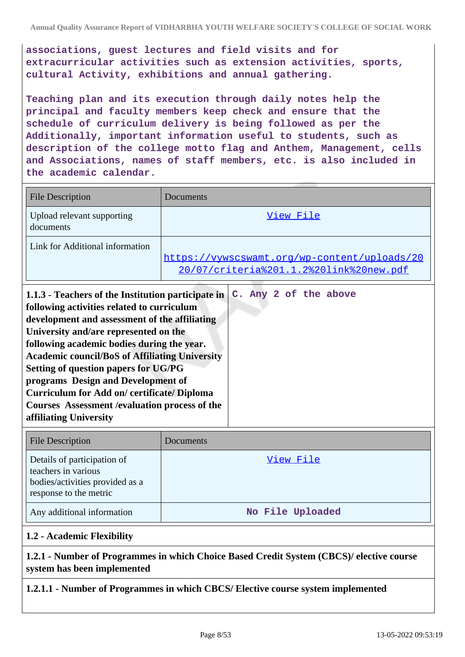**associations, guest lectures and field visits and for extracurricular activities such as extension activities, sports, cultural Activity, exhibitions and annual gathering.**

**Teaching plan and its execution through daily notes help the principal and faculty members keep check and ensure that the schedule of curriculum delivery is being followed as per the Additionally, important information useful to students, such as description of the college motto flag and Anthem, Management, cells and Associations, names of staff members, etc. is also included in the academic calendar.**

| <b>File Description</b>                                                                                                                                                                                                                                                                                                                                                                                                                      | Documents                                                                               |
|----------------------------------------------------------------------------------------------------------------------------------------------------------------------------------------------------------------------------------------------------------------------------------------------------------------------------------------------------------------------------------------------------------------------------------------------|-----------------------------------------------------------------------------------------|
| Upload relevant supporting<br>documents                                                                                                                                                                                                                                                                                                                                                                                                      | View File                                                                               |
| Link for Additional information                                                                                                                                                                                                                                                                                                                                                                                                              | https://vywscswamt.org/wp-content/uploads/20<br>20/07/criteria%201.1.2%20link%20new.pdf |
| 1.1.3 - Teachers of the Institution participate in<br>following activities related to curriculum<br>development and assessment of the affiliating<br>University and/are represented on the<br>following academic bodies during the year.<br><b>Academic council/BoS of Affiliating University</b><br><b>Setting of question papers for UG/PG</b><br>programs Design and Development of<br><b>Curriculum for Add on/ certificate/ Diploma</b> | C. Any 2 of the above                                                                   |

| <b>File Description</b>                                                                                         | Documents        |
|-----------------------------------------------------------------------------------------------------------------|------------------|
| Details of participation of<br>teachers in various<br>bodies/activities provided as a<br>response to the metric | View File        |
| Any additional information                                                                                      | No File Uploaded |

#### **1.2 - Academic Flexibility**

**affiliating University**

**Courses Assessment /evaluation process of the**

### **1.2.1 - Number of Programmes in which Choice Based Credit System (CBCS)/ elective course system has been implemented**

#### **1.2.1.1 - Number of Programmes in which CBCS/ Elective course system implemented**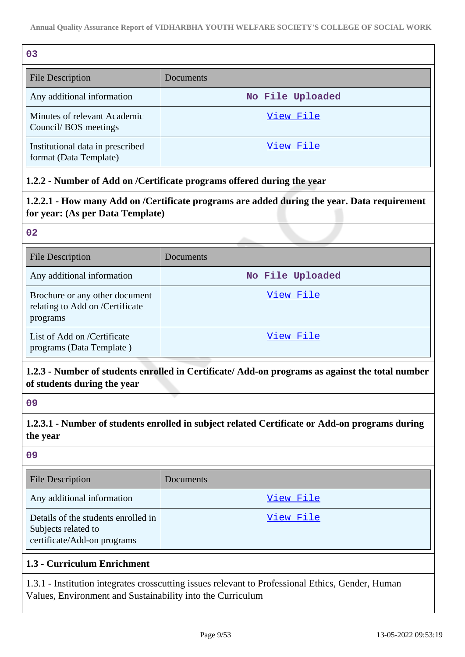| 0 <sub>3</sub>                                             |                  |
|------------------------------------------------------------|------------------|
| File Description                                           | Documents        |
| Any additional information                                 | No File Uploaded |
| Minutes of relevant Academic<br>Council/BOS meetings       | View File        |
| Institutional data in prescribed<br>format (Data Template) | View File        |

### **1.2.2 - Number of Add on /Certificate programs offered during the year**

**1.2.2.1 - How many Add on /Certificate programs are added during the year. Data requirement for year: (As per Data Template)**

**02**

| <b>File Description</b>                                                       | Documents        |
|-------------------------------------------------------------------------------|------------------|
| Any additional information                                                    | No File Uploaded |
| Brochure or any other document<br>relating to Add on /Certificate<br>programs | View File        |
| List of Add on /Certificate<br>programs (Data Template)                       | View File        |

### **1.2.3 - Number of students enrolled in Certificate/ Add-on programs as against the total number of students during the year**

**09**

**1.2.3.1 - Number of students enrolled in subject related Certificate or Add-on programs during the year**

**09**

| <b>File Description</b>                                                                   | Documents |
|-------------------------------------------------------------------------------------------|-----------|
| Any additional information                                                                | View File |
| Details of the students enrolled in<br>Subjects related to<br>certificate/Add-on programs | View File |

# **1.3 - Curriculum Enrichment**

1.3.1 - Institution integrates crosscutting issues relevant to Professional Ethics, Gender, Human Values, Environment and Sustainability into the Curriculum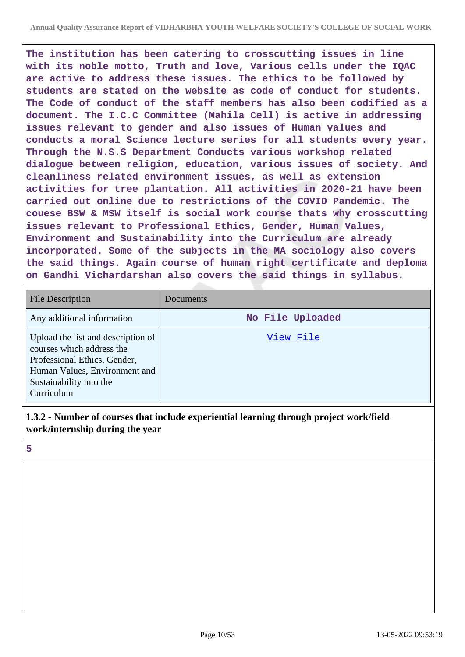**The institution has been catering to crosscutting issues in line with its noble motto, Truth and love, Various cells under the IQAC are active to address these issues. The ethics to be followed by students are stated on the website as code of conduct for students. The Code of conduct of the staff members has also been codified as a document. The I.C.C Committee (Mahila Cell) is active in addressing issues relevant to gender and also issues of Human values and conducts a moral Science lecture series for all students every year. Through the N.S.S Department Conducts various workshop related dialogue between religion, education, various issues of society. And cleanliness related environment issues, as well as extension activities for tree plantation. All activities in 2020-21 have been carried out online due to restrictions of the COVID Pandemic. The couese BSW & MSW itself is social work course thats why crosscutting issues relevant to Professional Ethics, Gender, Human Values, Environment and Sustainability into the Curriculum are already incorporated. Some of the subjects in the MA sociology also covers the said things. Again course of human right certificate and deploma on Gandhi Vichardarshan also covers the said things in syllabus.**

| <b>File Description</b>                                                                                                                                                   | Documents        |
|---------------------------------------------------------------------------------------------------------------------------------------------------------------------------|------------------|
| Any additional information                                                                                                                                                | No File Uploaded |
| Upload the list and description of<br>courses which address the<br>Professional Ethics, Gender,<br>Human Values, Environment and<br>Sustainability into the<br>Curriculum | View File        |

### **1.3.2 - Number of courses that include experiential learning through project work/field work/internship during the year**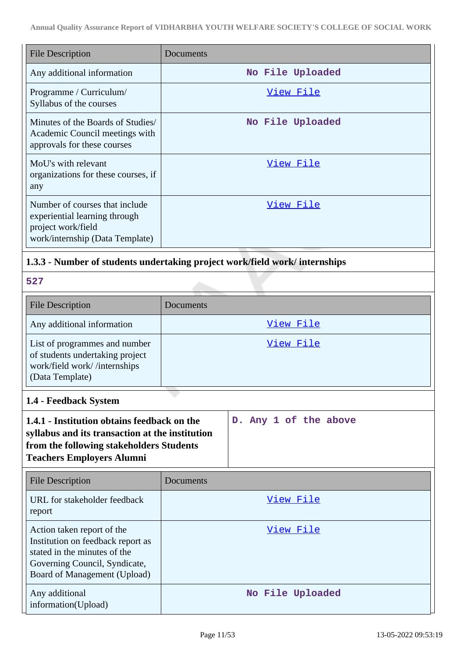| File Description                                                                                                         | Documents        |
|--------------------------------------------------------------------------------------------------------------------------|------------------|
| Any additional information                                                                                               | No File Uploaded |
| Programme / Curriculum/<br>Syllabus of the courses                                                                       | View File        |
| Minutes of the Boards of Studies/<br>Academic Council meetings with<br>approvals for these courses                       | No File Uploaded |
| MoU's with relevant<br>organizations for these courses, if<br>any                                                        | View File        |
| Number of courses that include<br>experiential learning through<br>project work/field<br>work/internship (Data Template) | View File        |

# **1.3.3 - Number of students undertaking project work/field work/ internships**

| u.             |  |
|----------------|--|
| . .<br>and the |  |

| <b>File Description</b>                                                                                             | <b>Documents</b> |
|---------------------------------------------------------------------------------------------------------------------|------------------|
| Any additional information                                                                                          | View File        |
| List of programmes and number<br>of students undertaking project<br>work/field work//internships<br>(Data Template) | View File        |

# **1.4 - Feedback System**

| 1.4.1 - Institution obtains feedback on the     |  |  | D. Any 1 of the above |  |  |
|-------------------------------------------------|--|--|-----------------------|--|--|
| syllabus and its transaction at the institution |  |  |                       |  |  |
| from the following stakeholders Students        |  |  |                       |  |  |
| <b>Teachers Employers Alumni</b>                |  |  |                       |  |  |
|                                                 |  |  |                       |  |  |

| File Description                                                                                                                                                 | Documents        |
|------------------------------------------------------------------------------------------------------------------------------------------------------------------|------------------|
| URL for stakeholder feedback<br>report                                                                                                                           | View File        |
| Action taken report of the<br>Institution on feedback report as<br>stated in the minutes of the<br>Governing Council, Syndicate,<br>Board of Management (Upload) | View File        |
| Any additional<br>information(Upload)                                                                                                                            | No File Uploaded |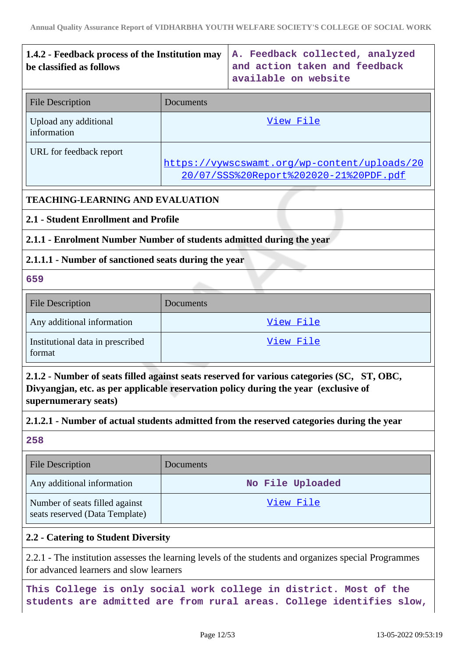# **1.4.2 - Feedback process of the Institution may be classified as follows**

**A. Feedback collected, analyzed and action taken and feedback available on website**

| <b>File Description</b>              | Documents                                                                              |
|--------------------------------------|----------------------------------------------------------------------------------------|
| Upload any additional<br>information | View File                                                                              |
| URL for feedback report              | https://vywscswamt.org/wp-content/uploads/20<br>20/07/SSS%20Report%202020-21%20PDF.pdf |

### **TEACHING-LEARNING AND EVALUATION**

### **2.1 - Student Enrollment and Profile**

### **2.1.1 - Enrolment Number Number of students admitted during the year**

### **2.1.1.1 - Number of sanctioned seats during the year**

#### **659**

| <b>File Description</b>                    | <b>Documents</b> |
|--------------------------------------------|------------------|
| Any additional information                 | View File        |
| Institutional data in prescribed<br>format | View File        |

**2.1.2 - Number of seats filled against seats reserved for various categories (SC, ST, OBC, Divyangjan, etc. as per applicable reservation policy during the year (exclusive of supernumerary seats)**

### **2.1.2.1 - Number of actual students admitted from the reserved categories during the year**

### **258**

| <b>File Description</b>                                          | <b>Documents</b> |
|------------------------------------------------------------------|------------------|
| Any additional information                                       | No File Uploaded |
| Number of seats filled against<br>seats reserved (Data Template) | View File        |

#### **2.2 - Catering to Student Diversity**

2.2.1 - The institution assesses the learning levels of the students and organizes special Programmes for advanced learners and slow learners

**This College is only social work college in district. Most of the students are admitted are from rural areas. College identifies slow,**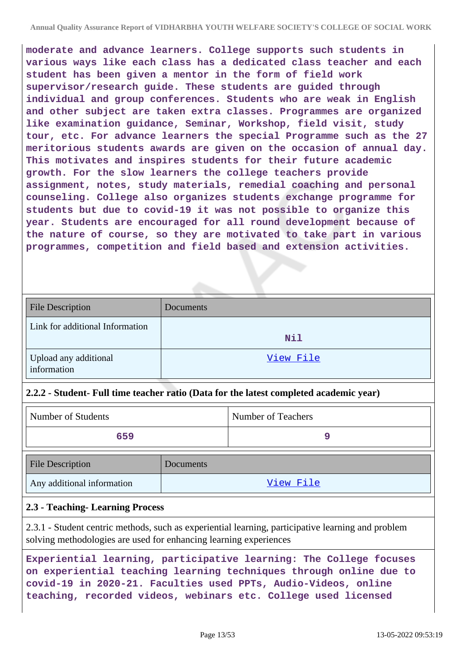**moderate and advance learners. College supports such students in various ways like each class has a dedicated class teacher and each student has been given a mentor in the form of field work supervisor/research guide. These students are guided through individual and group conferences. Students who are weak in English and other subject are taken extra classes. Programmes are organized like examination guidance, Seminar, Workshop, field visit, study tour, etc. For advance learners the special Programme such as the 27 meritorious students awards are given on the occasion of annual day. This motivates and inspires students for their future academic growth. For the slow learners the college teachers provide assignment, notes, study materials, remedial coaching and personal counseling. College also organizes students exchange programme for students but due to covid-19 it was not possible to organize this year. Students are encouraged for all round development because of the nature of course, so they are motivated to take part in various programmes, competition and field based and extension activities.**

| <b>File Description</b>              | Documents |
|--------------------------------------|-----------|
| Link for additional Information      | Nil       |
| Upload any additional<br>information | View File |

#### **2.2.2 - Student- Full time teacher ratio (Data for the latest completed academic year)**

Any additional information and the United States of the [View File](https://assessmentonline.naac.gov.in/storage/app/public/aqar/21038/21038_16_33.xlsx?1652458997)

| Number of Students      |           | Number of Teachers |
|-------------------------|-----------|--------------------|
| 659                     |           |                    |
| <b>File Description</b> | Documents |                    |

#### **2.3 - Teaching- Learning Process**

2.3.1 - Student centric methods, such as experiential learning, participative learning and problem solving methodologies are used for enhancing learning experiences

```
Experiential learning, participative learning: The College focuses
on experiential teaching learning techniques through online due to
covid-19 in 2020-21. Faculties used PPTs, Audio-Videos, online
teaching, recorded videos, webinars etc. College used licensed
```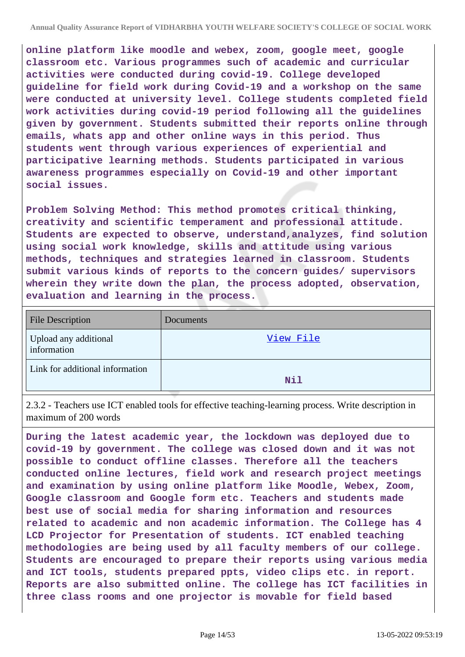**online platform like moodle and webex, zoom, google meet, google classroom etc. Various programmes such of academic and curricular activities were conducted during covid-19. College developed guideline for field work during Covid-19 and a workshop on the same were conducted at university level. College students completed field work activities during covid-19 period following all the guidelines given by government. Students submitted their reports online through emails, whats app and other online ways in this period. Thus students went through various experiences of experiential and participative learning methods. Students participated in various awareness programmes especially on Covid-19 and other important social issues.**

**Problem Solving Method: This method promotes critical thinking, creativity and scientific temperament and professional attitude. Students are expected to observe, understand,analyzes, find solution using social work knowledge, skills and attitude using various methods, techniques and strategies learned in classroom. Students submit various kinds of reports to the concern guides/ supervisors wherein they write down the plan, the process adopted, observation, evaluation and learning in the process.**

| <b>File Description</b>              | Documents |
|--------------------------------------|-----------|
| Upload any additional<br>information | View File |
| Link for additional information      | Nil       |

2.3.2 - Teachers use ICT enabled tools for effective teaching-learning process. Write description in maximum of 200 words

**During the latest academic year, the lockdown was deployed due to covid-19 by government. The college was closed down and it was not possible to conduct offline classes. Therefore all the teachers conducted online lectures, field work and research project meetings and examination by using online platform like Moodle, Webex, Zoom, Google classroom and Google form etc. Teachers and students made best use of social media for sharing information and resources related to academic and non academic information. The College has 4 LCD Projector for Presentation of students. ICT enabled teaching methodologies are being used by all faculty members of our college. Students are encouraged to prepare their reports using various media and ICT tools, students prepared ppts, video clips etc. in report. Reports are also submitted online. The college has ICT facilities in three class rooms and one projector is movable for field based**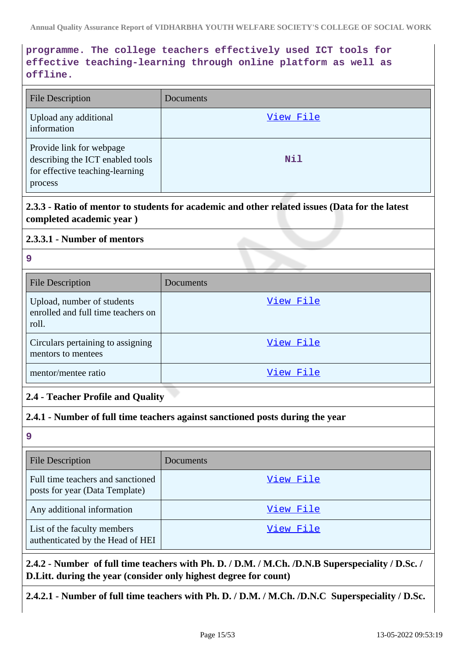# **programme. The college teachers effectively used ICT tools for effective teaching-learning through online platform as well as offline.**

| <b>File Description</b>                                                                                    | Documents |
|------------------------------------------------------------------------------------------------------------|-----------|
| Upload any additional<br>information                                                                       | View File |
| Provide link for webpage<br>describing the ICT enabled tools<br>for effective teaching-learning<br>process | Nil       |

**2.3.3 - Ratio of mentor to students for academic and other related issues (Data for the latest completed academic year )**

#### **2.3.3.1 - Number of mentors**

#### **9**

| <b>File Description</b>                                                   | Documents |
|---------------------------------------------------------------------------|-----------|
| Upload, number of students<br>enrolled and full time teachers on<br>roll. | View File |
| Circulars pertaining to assigning<br>mentors to mentees                   | View File |
| mentor/mentee ratio                                                       | View File |

# **2.4 - Teacher Profile and Quality**

#### **2.4.1 - Number of full time teachers against sanctioned posts during the year**

**9**

| <b>File Description</b>                                             | Documents |
|---------------------------------------------------------------------|-----------|
| Full time teachers and sanctioned<br>posts for year (Data Template) | View File |
| Any additional information                                          | View File |
| List of the faculty members<br>authenticated by the Head of HEI     | View File |

### **2.4.2 - Number of full time teachers with Ph. D. / D.M. / M.Ch. /D.N.B Superspeciality / D.Sc. / D.Litt. during the year (consider only highest degree for count)**

**2.4.2.1 - Number of full time teachers with Ph. D. / D.M. / M.Ch. /D.N.C Superspeciality / D.Sc.**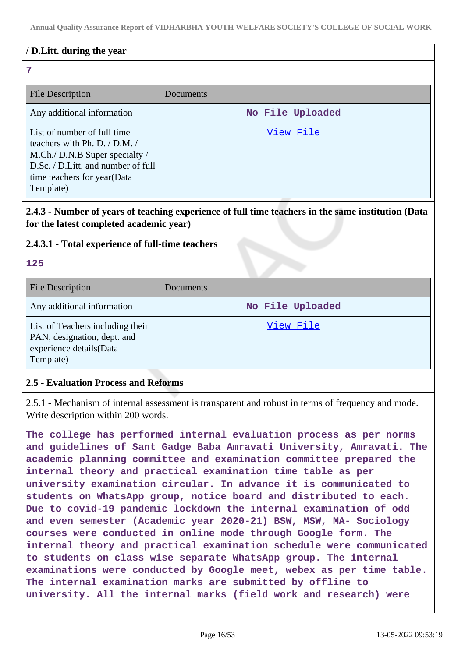### **/ D.Litt. during the year**

#### **7**

| <b>File Description</b>                                                                                                                                                              | Documents        |
|--------------------------------------------------------------------------------------------------------------------------------------------------------------------------------------|------------------|
| Any additional information                                                                                                                                                           | No File Uploaded |
| List of number of full time<br>teachers with Ph. D. $/$ D.M. $/$<br>M.Ch./ D.N.B Super specialty /<br>D.Sc. / D.Litt. and number of full<br>time teachers for year(Data<br>Template) | View File        |

### **2.4.3 - Number of years of teaching experience of full time teachers in the same institution (Data for the latest completed academic year)**

### **2.4.3.1 - Total experience of full-time teachers**

#### **125**

| <b>File Description</b>                                                                                 | Documents        |
|---------------------------------------------------------------------------------------------------------|------------------|
| Any additional information                                                                              | No File Uploaded |
| List of Teachers including their<br>PAN, designation, dept. and<br>experience details(Data<br>Template) | View File        |

#### **2.5 - Evaluation Process and Reforms**

2.5.1 - Mechanism of internal assessment is transparent and robust in terms of frequency and mode. Write description within 200 words.

**The college has performed internal evaluation process as per norms and guidelines of Sant Gadge Baba Amravati University, Amravati. The academic planning committee and examination committee prepared the internal theory and practical examination time table as per university examination circular. In advance it is communicated to students on WhatsApp group, notice board and distributed to each. Due to covid-19 pandemic lockdown the internal examination of odd and even semester (Academic year 2020-21) BSW, MSW, MA- Sociology courses were conducted in online mode through Google form. The internal theory and practical examination schedule were communicated to students on class wise separate WhatsApp group. The internal examinations were conducted by Google meet, webex as per time table. The internal examination marks are submitted by offline to university. All the internal marks (field work and research) were**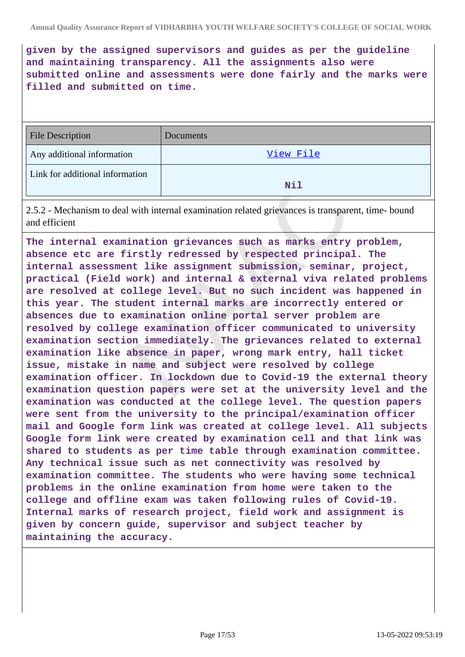**given by the assigned supervisors and guides as per the guideline and maintaining transparency. All the assignments also were submitted online and assessments were done fairly and the marks were filled and submitted on time.**

| <b>File Description</b>         | Documents |
|---------------------------------|-----------|
| Any additional information      | View File |
| Link for additional information | Nil       |

2.5.2 - Mechanism to deal with internal examination related grievances is transparent, time- bound and efficient

**The internal examination grievances such as marks entry problem, absence etc are firstly redressed by respected principal. The internal assessment like assignment submission, seminar, project, practical (Field work) and internal & external viva related problems are resolved at college level. But no such incident was happened in this year. The student internal marks are incorrectly entered or absences due to examination online portal server problem are resolved by college examination officer communicated to university examination section immediately. The grievances related to external examination like absence in paper, wrong mark entry, hall ticket issue, mistake in name and subject were resolved by college examination officer. In lockdown due to Covid-19 the external theory examination question papers were set at the university level and the examination was conducted at the college level. The question papers were sent from the university to the principal/examination officer mail and Google form link was created at college level. All subjects Google form link were created by examination cell and that link was shared to students as per time table through examination committee. Any technical issue such as net connectivity was resolved by examination committee. The students who were having some technical problems in the online examination from home were taken to the college and offline exam was taken following rules of Covid-19. Internal marks of research project, field work and assignment is given by concern guide, supervisor and subject teacher by maintaining the accuracy.**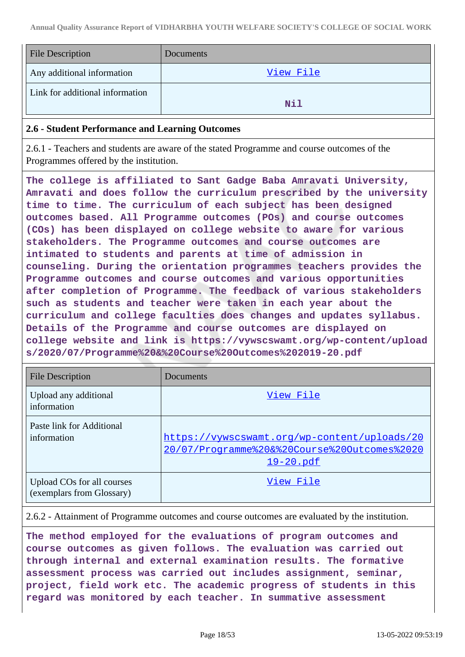| <b>File Description</b>         | Documents |
|---------------------------------|-----------|
| Any additional information      | View File |
| Link for additional information | Nil       |

#### **2.6 - Student Performance and Learning Outcomes**

2.6.1 - Teachers and students are aware of the stated Programme and course outcomes of the Programmes offered by the institution.

**The college is affiliated to Sant Gadge Baba Amravati University, Amravati and does follow the curriculum prescribed by the university time to time. The curriculum of each subject has been designed outcomes based. All Programme outcomes (POs) and course outcomes (COs) has been displayed on college website to aware for various stakeholders. The Programme outcomes and course outcomes are intimated to students and parents at time of admission in counseling. During the orientation programmes teachers provides the Programme outcomes and course outcomes and various opportunities after completion of Programme. The feedback of various stakeholders such as students and teacher were taken in each year about the curriculum and college faculties does changes and updates syllabus. Details of the Programme and course outcomes are displayed on college website and link is https://vywscswamt.org/wp-content/upload s/2020/07/Programme%20&%20Course%20Outcomes%202019-20.pdf**

| <b>File Description</b>                                 | Documents                                                                                                        |
|---------------------------------------------------------|------------------------------------------------------------------------------------------------------------------|
| Upload any additional<br>information                    | View File                                                                                                        |
| Paste link for Additional<br>information                | https://vywscswamt.org/wp-content/uploads/20<br>20/07/Programme%20&%20Course%20Outcomes%2020<br><u>19-20.pdf</u> |
| Upload COs for all courses<br>(exemplars from Glossary) | View File                                                                                                        |

2.6.2 - Attainment of Programme outcomes and course outcomes are evaluated by the institution.

**The method employed for the evaluations of program outcomes and course outcomes as given follows. The evaluation was carried out through internal and external examination results. The formative assessment process was carried out includes assignment, seminar, project, field work etc. The academic progress of students in this regard was monitored by each teacher. In summative assessment**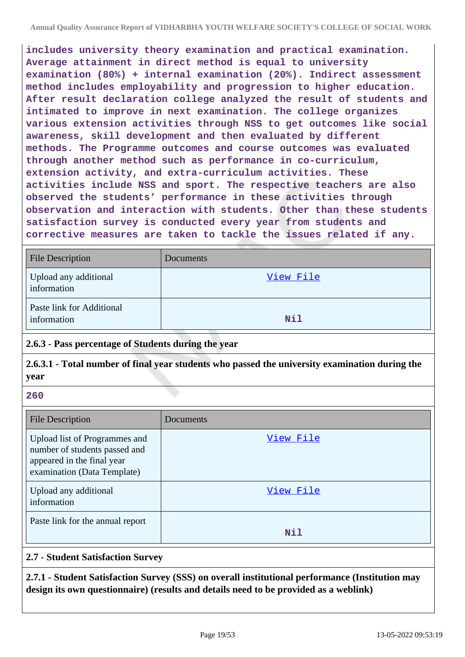**includes university theory examination and practical examination. Average attainment in direct method is equal to university examination (80%) + internal examination (20%). Indirect assessment method includes employability and progression to higher education. After result declaration college analyzed the result of students and intimated to improve in next examination. The college organizes various extension activities through NSS to get outcomes like social awareness, skill development and then evaluated by different methods. The Programme outcomes and course outcomes was evaluated through another method such as performance in co-curriculum, extension activity, and extra-curriculum activities. These activities include NSS and sport. The respective teachers are also observed the students' performance in these activities through observation and interaction with students. Other than these students satisfaction survey is conducted every year from students and corrective measures are taken to tackle the issues related if any.**

| <b>File Description</b>                  | Documents  |
|------------------------------------------|------------|
| Upload any additional<br>information     | View File  |
| Paste link for Additional<br>information | <b>Nil</b> |

# **2.6.3 - Pass percentage of Students during the year**

**2.6.3.1 - Total number of final year students who passed the university examination during the year**

**260**

| File Description                                                                                                            | Documents |
|-----------------------------------------------------------------------------------------------------------------------------|-----------|
| Upload list of Programmes and<br>number of students passed and<br>appeared in the final year<br>examination (Data Template) | View File |
| Upload any additional<br>information                                                                                        | View File |
| Paste link for the annual report                                                                                            | Nil       |

### **2.7 - Student Satisfaction Survey**

**2.7.1 - Student Satisfaction Survey (SSS) on overall institutional performance (Institution may design its own questionnaire) (results and details need to be provided as a weblink)**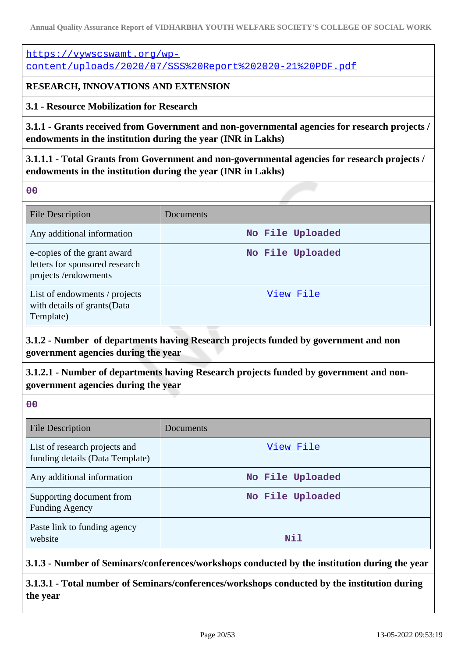[https://vywscswamt.org/wp](https://vywscswamt.org/wp-content/uploads/2020/07/SSS%20Report%202020-21%20PDF.pdf)[content/uploads/2020/07/SSS%20Report%202020-21%20PDF.pdf](https://vywscswamt.org/wp-content/uploads/2020/07/SSS%20Report%202020-21%20PDF.pdf)

### **RESEARCH, INNOVATIONS AND EXTENSION**

**3.1 - Resource Mobilization for Research**

**3.1.1 - Grants received from Government and non-governmental agencies for research projects / endowments in the institution during the year (INR in Lakhs)**

**3.1.1.1 - Total Grants from Government and non-governmental agencies for research projects / endowments in the institution during the year (INR in Lakhs)**

**00**

| <b>File Description</b>                                                              | Documents        |
|--------------------------------------------------------------------------------------|------------------|
| Any additional information                                                           | No File Uploaded |
| e-copies of the grant award<br>letters for sponsored research<br>projects/endowments | No File Uploaded |
| List of endowments / projects<br>with details of grants (Data<br>Template)           | View File        |

**3.1.2 - Number of departments having Research projects funded by government and non government agencies during the year**

**3.1.2.1 - Number of departments having Research projects funded by government and nongovernment agencies during the year**

**00**

| File Description                                                 | Documents        |
|------------------------------------------------------------------|------------------|
| List of research projects and<br>funding details (Data Template) | View File        |
| Any additional information                                       | No File Uploaded |
| Supporting document from<br><b>Funding Agency</b>                | No File Uploaded |
| Paste link to funding agency<br>website                          | Nil              |

**3.1.3 - Number of Seminars/conferences/workshops conducted by the institution during the year**

**3.1.3.1 - Total number of Seminars/conferences/workshops conducted by the institution during the year**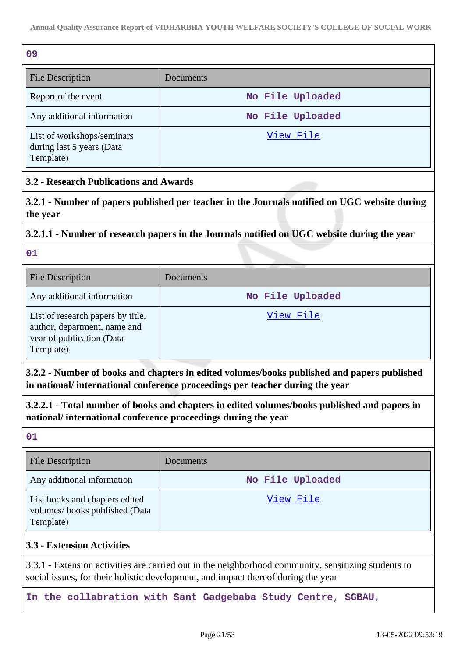| 09                                                                   |                  |
|----------------------------------------------------------------------|------------------|
| <b>File Description</b>                                              | Documents        |
| Report of the event                                                  | No File Uploaded |
| Any additional information                                           | No File Uploaded |
| List of workshops/seminars<br>during last 5 years (Data<br>Template) | View File        |

### **3.2 - Research Publications and Awards**

**3.2.1 - Number of papers published per teacher in the Journals notified on UGC website during the year**

### **3.2.1.1 - Number of research papers in the Journals notified on UGC website during the year**

**01**

| <b>File Description</b>                                                                                     | Documents        |
|-------------------------------------------------------------------------------------------------------------|------------------|
| Any additional information                                                                                  | No File Uploaded |
| List of research papers by title,<br>author, department, name and<br>year of publication (Data<br>Template) | View File        |

**3.2.2 - Number of books and chapters in edited volumes/books published and papers published in national/ international conference proceedings per teacher during the year**

**3.2.2.1 - Total number of books and chapters in edited volumes/books published and papers in national/ international conference proceedings during the year**

**01**

| <b>File Description</b>                                                      | <b>Documents</b> |
|------------------------------------------------------------------------------|------------------|
| Any additional information                                                   | No File Uploaded |
| List books and chapters edited<br>volumes/books published (Data<br>Template) | View File        |

#### **3.3 - Extension Activities**

3.3.1 - Extension activities are carried out in the neighborhood community, sensitizing students to social issues, for their holistic development, and impact thereof during the year

**In the collabration with Sant Gadgebaba Study Centre, SGBAU,**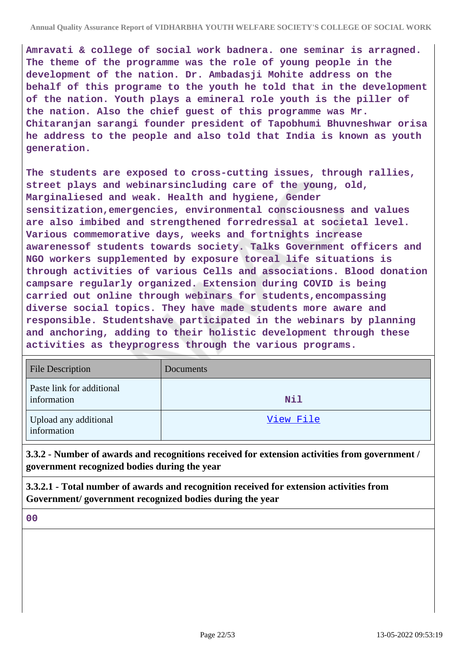**Amravati & college of social work badnera. one seminar is arragned. The theme of the programme was the role of young people in the development of the nation. Dr. Ambadasji Mohite address on the behalf of this programe to the youth he told that in the development of the nation. Youth plays a emineral role youth is the piller of the nation. Also the chief guest of this programme was Mr. Chitaranjan sarangi founder president of Tapobhumi Bhuvneshwar orisa he address to the people and also told that India is known as youth generation.**

**The students are exposed to cross-cutting issues, through rallies, street plays and webinarsincluding care of the young, old, Marginaliesed and weak. Health and hygiene, Gender sensitization,emergencies, environmental consciousness and values are also imbibed and strengthened forredressal at societal level. Various commemorative days, weeks and fortnights increase awarenessof students towards society. Talks Government officers and NGO workers supplemented by exposure toreal life situations is through activities of various Cells and associations. Blood donation campsare regularly organized. Extension during COVID is being carried out online through webinars for students,encompassing diverse social topics. They have made students more aware and responsible. Studentshave participated in the webinars by planning and anchoring, adding to their holistic development through these activities as theyprogress through the various programs.**

| <b>File Description</b>                  | Documents |
|------------------------------------------|-----------|
| Paste link for additional<br>information | Nil       |
| Upload any additional<br>information     | View File |

**3.3.2 - Number of awards and recognitions received for extension activities from government / government recognized bodies during the year**

**3.3.2.1 - Total number of awards and recognition received for extension activities from Government/ government recognized bodies during the year**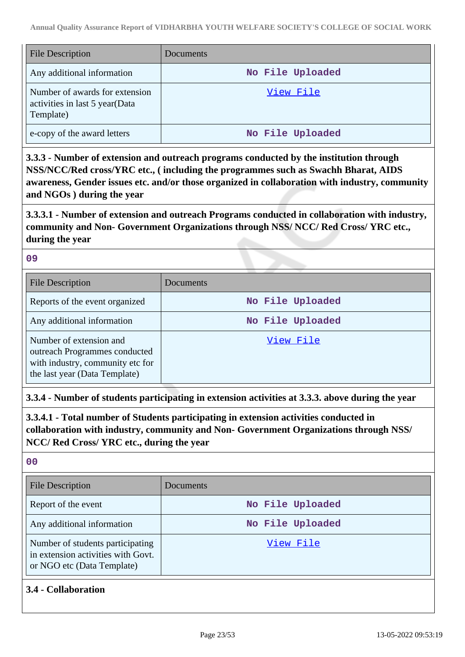| <b>File Description</b>                                                       | <b>Documents</b> |
|-------------------------------------------------------------------------------|------------------|
| Any additional information                                                    | No File Uploaded |
| Number of awards for extension<br>activities in last 5 year(Data<br>Template) | View File        |
| e-copy of the award letters                                                   | No File Uploaded |

**3.3.3 - Number of extension and outreach programs conducted by the institution through NSS/NCC/Red cross/YRC etc., ( including the programmes such as Swachh Bharat, AIDS awareness, Gender issues etc. and/or those organized in collaboration with industry, community and NGOs ) during the year**

**3.3.3.1 - Number of extension and outreach Programs conducted in collaboration with industry, community and Non- Government Organizations through NSS/ NCC/ Red Cross/ YRC etc., during the year**

#### **09**

| <b>File Description</b>                                                                                                       | Documents        |
|-------------------------------------------------------------------------------------------------------------------------------|------------------|
| Reports of the event organized                                                                                                | No File Uploaded |
| Any additional information                                                                                                    | No File Uploaded |
| Number of extension and<br>outreach Programmes conducted<br>with industry, community etc for<br>the last year (Data Template) | View File        |

**3.3.4 - Number of students participating in extension activities at 3.3.3. above during the year**

**3.3.4.1 - Total number of Students participating in extension activities conducted in collaboration with industry, community and Non- Government Organizations through NSS/ NCC/ Red Cross/ YRC etc., during the year**

#### **00**

| <b>File Description</b>                                                                              | Documents        |
|------------------------------------------------------------------------------------------------------|------------------|
| Report of the event                                                                                  | No File Uploaded |
| Any additional information                                                                           | No File Uploaded |
| Number of students participating<br>in extension activities with Govt.<br>or NGO etc (Data Template) | View File        |

### **3.4 - Collaboration**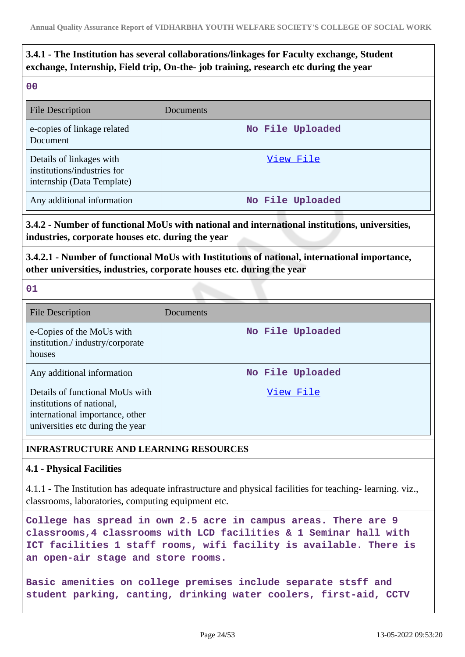# **3.4.1 - The Institution has several collaborations/linkages for Faculty exchange, Student exchange, Internship, Field trip, On-the- job training, research etc during the year**

**00**

| <b>File Description</b>                                                               | Documents        |
|---------------------------------------------------------------------------------------|------------------|
| e-copies of linkage related<br>Document                                               | No File Uploaded |
| Details of linkages with<br>institutions/industries for<br>internship (Data Template) | View File        |
| Any additional information                                                            | No File Uploaded |

### **3.4.2 - Number of functional MoUs with national and international institutions, universities, industries, corporate houses etc. during the year**

**3.4.2.1 - Number of functional MoUs with Institutions of national, international importance, other universities, industries, corporate houses etc. during the year**

**01**

| File Description                                                                                                                    | Documents        |
|-------------------------------------------------------------------------------------------------------------------------------------|------------------|
| e-Copies of the MoUs with<br>institution./industry/corporate<br>houses                                                              | No File Uploaded |
| Any additional information                                                                                                          | No File Uploaded |
| Details of functional MoUs with<br>institutions of national,<br>international importance, other<br>universities etc during the year | View File        |

### **INFRASTRUCTURE AND LEARNING RESOURCES**

### **4.1 - Physical Facilities**

4.1.1 - The Institution has adequate infrastructure and physical facilities for teaching- learning. viz., classrooms, laboratories, computing equipment etc.

**College has spread in own 2.5 acre in campus areas. There are 9 classrooms,4 classrooms with LCD facilities & 1 Seminar hall with ICT facilities 1 staff rooms, wifi facility is available. There is an open-air stage and store rooms.**

**Basic amenities on college premises include separate stsff and student parking, canting, drinking water coolers, first-aid, CCTV**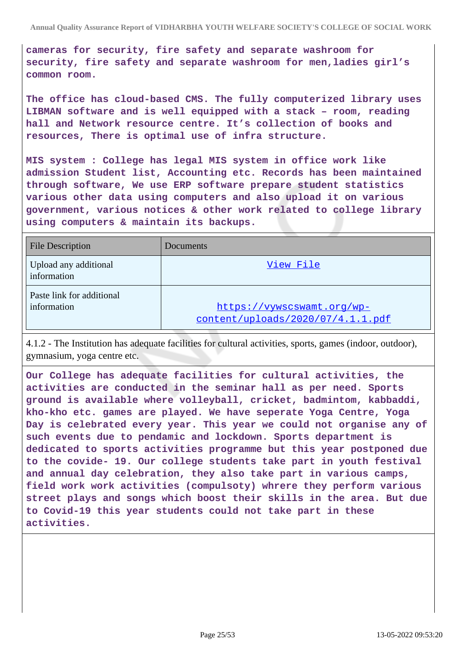**cameras for security, fire safety and separate washroom for security, fire safety and separate washroom for men,ladies girl's common room.**

**The office has cloud-based CMS. The fully computerized library uses LIBMAN software and is well equipped with a stack – room, reading hall and Network resource centre. It's collection of books and resources, There is optimal use of infra structure.**

**MIS system : College has legal MIS system in office work like admission Student list, Accounting etc. Records has been maintained through software, We use ERP software prepare student statistics various other data using computers and also upload it on various government, various notices & other work related to college library using computers & maintain its backups.**

| <b>File Description</b>                  | <b>Documents</b>                                                |
|------------------------------------------|-----------------------------------------------------------------|
| Upload any additional<br>information     | View File                                                       |
| Paste link for additional<br>information | https://vywscswamt.org/wp-<br>content/uploads/2020/07/4.1.1.pdf |

4.1.2 - The Institution has adequate facilities for cultural activities, sports, games (indoor, outdoor), gymnasium, yoga centre etc.

**Our College has adequate facilities for cultural activities, the activities are conducted in the seminar hall as per need. Sports ground is available where volleyball, cricket, badmintom, kabbaddi, kho-kho etc. games are played. We have seperate Yoga Centre, Yoga Day is celebrated every year. This year we could not organise any of such events due to pendamic and lockdown. Sports department is dedicated to sports activities programme but this year postponed due to the covide- 19. Our college students take part in youth festival and annual day celebration, they also take part in various camps, field work work activities (compulsoty) whrere they perform various street plays and songs which boost their skills in the area. But due to Covid-19 this year students could not take part in these activities.**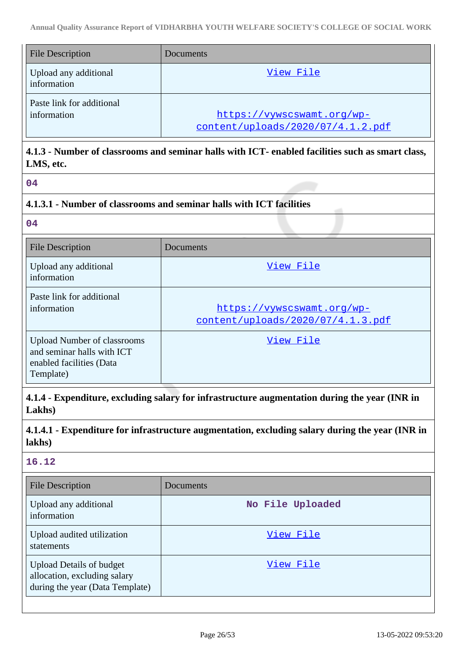| <b>File Description</b>                  | Documents                                                       |
|------------------------------------------|-----------------------------------------------------------------|
| Upload any additional<br>information     | View File                                                       |
| Paste link for additional<br>information | https://vywscswamt.org/wp-<br>content/uploads/2020/07/4.1.2.pdf |

### **4.1.3 - Number of classrooms and seminar halls with ICT- enabled facilities such as smart class, LMS, etc.**

**04**

### **4.1.3.1 - Number of classrooms and seminar halls with ICT facilities**

**04**

| <b>File Description</b>                                                                                   | Documents                                                       |
|-----------------------------------------------------------------------------------------------------------|-----------------------------------------------------------------|
| Upload any additional<br>information                                                                      | View File                                                       |
| Paste link for additional<br>information                                                                  | https://vywscswamt.org/wp-<br>content/uploads/2020/07/4.1.3.pdf |
| <b>Upload Number of classrooms</b><br>and seminar halls with ICT<br>enabled facilities (Data<br>Template) | View File                                                       |

**4.1.4 - Expenditure, excluding salary for infrastructure augmentation during the year (INR in Lakhs)**

**4.1.4.1 - Expenditure for infrastructure augmentation, excluding salary during the year (INR in lakhs)**

### **16.12**

| <b>File Description</b>                                                                            | Documents        |
|----------------------------------------------------------------------------------------------------|------------------|
| Upload any additional<br>information                                                               | No File Uploaded |
| Upload audited utilization<br>statements                                                           | View File        |
| <b>Upload Details of budget</b><br>allocation, excluding salary<br>during the year (Data Template) | View File        |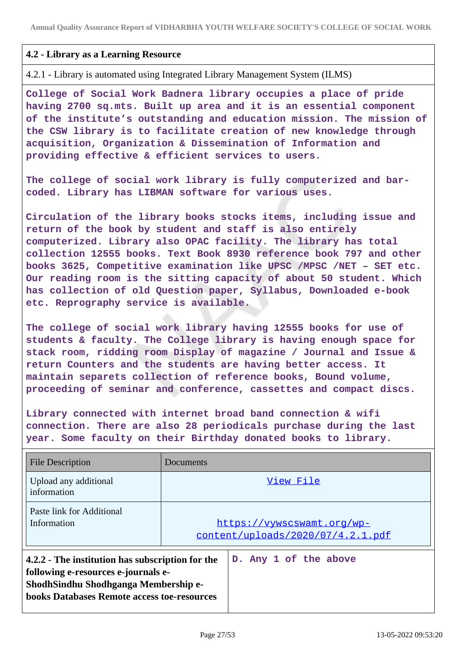### **4.2 - Library as a Learning Resource**

4.2.1 - Library is automated using Integrated Library Management System (ILMS)

**College of Social Work Badnera library occupies a place of pride having 2700 sq.mts. Built up area and it is an essential component of the institute's outstanding and education mission. The mission of the CSW library is to facilitate creation of new knowledge through acquisition, Organization & Dissemination of Information and providing effective & efficient services to users.**

**The college of social work library is fully computerized and barcoded. Library has LIBMAN software for various uses.**

**Circulation of the library books stocks items, including issue and return of the book by student and staff is also entirely computerized. Library also OPAC facility. The library has total collection 12555 books. Text Book 8930 reference book 797 and other books 3625, Competitive examination like UPSC /MPSC /NET – SET etc. Our reading room is the sitting capacity of about 50 student. Which has collection of old Question paper, Syllabus, Downloaded e-book etc. Reprography service is available.**

**The college of social work library having 12555 books for use of students & faculty. The College library is having enough space for stack room, ridding room Display of magazine / Journal and Issue & return Counters and the students are having better access. It maintain separets collection of reference books, Bound volume, proceeding of seminar and conference, cassettes and compact discs.**

**Library connected with internet broad band connection & wifi connection. There are also 28 periodicals purchase during the last year. Some faculty on their Birthday donated books to library.**

| <b>File Description</b>                                                                                                                                                               | Documents |                                                                 |
|---------------------------------------------------------------------------------------------------------------------------------------------------------------------------------------|-----------|-----------------------------------------------------------------|
| Upload any additional<br>information                                                                                                                                                  |           | View File                                                       |
| Paste link for Additional<br>Information                                                                                                                                              |           | https://vywscswamt.org/wp-<br>content/uploads/2020/07/4.2.1.pdf |
| 4.2.2 - The institution has subscription for the<br>following e-resources e-journals e-<br>ShodhSindhu Shodhganga Membership e-<br><b>books Databases Remote access toe-resources</b> |           | D. Any 1 of the above                                           |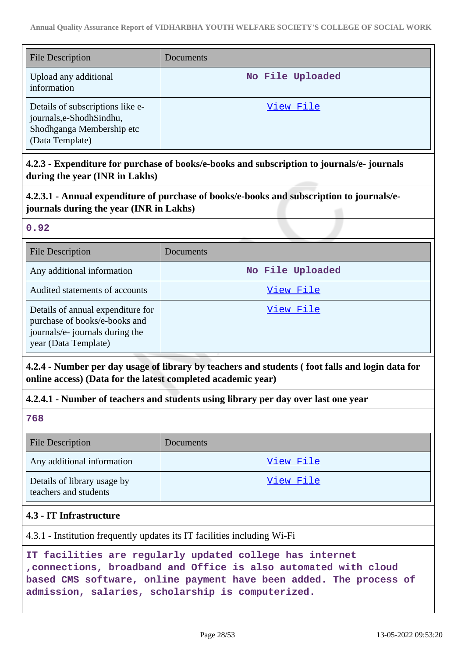| <b>File Description</b>                                                                                       | Documents        |
|---------------------------------------------------------------------------------------------------------------|------------------|
| Upload any additional<br>information                                                                          | No File Uploaded |
| Details of subscriptions like e-<br>journals, e-Shodh Sindhu,<br>Shodhganga Membership etc<br>(Data Template) | View File        |

### **4.2.3 - Expenditure for purchase of books/e-books and subscription to journals/e- journals during the year (INR in Lakhs)**

# **4.2.3.1 - Annual expenditure of purchase of books/e-books and subscription to journals/ejournals during the year (INR in Lakhs)**

### **0.92**

| <b>File Description</b>                                                                                                       | Documents        |
|-------------------------------------------------------------------------------------------------------------------------------|------------------|
| Any additional information                                                                                                    | No File Uploaded |
| Audited statements of accounts                                                                                                | View File        |
| Details of annual expenditure for<br>purchase of books/e-books and<br>journals/e- journals during the<br>year (Data Template) | <u>View File</u> |

### **4.2.4 - Number per day usage of library by teachers and students ( foot falls and login data for online access) (Data for the latest completed academic year)**

### **4.2.4.1 - Number of teachers and students using library per day over last one year**

**768**

| <b>File Description</b>                              | <b>Documents</b> |
|------------------------------------------------------|------------------|
| Any additional information                           | View File        |
| Details of library usage by<br>teachers and students | View File        |

### **4.3 - IT Infrastructure**

4.3.1 - Institution frequently updates its IT facilities including Wi-Fi

**IT facilities are regularly updated college has internet ,connections, broadband and Office is also automated with cloud based CMS software, online payment have been added. The process of admission, salaries, scholarship is computerized.**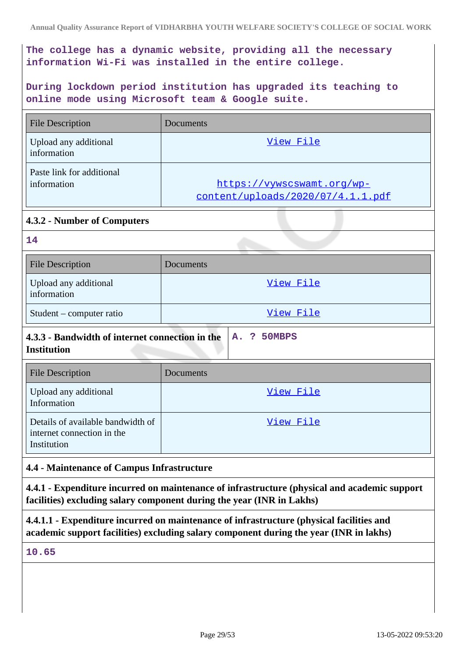**The college has a dynamic website, providing all the necessary information Wi-Fi was installed in the entire college.**

**During lockdown period institution has upgraded its teaching to online mode using Microsoft team & Google suite.**

| <b>File Description</b>                  | Documents                                                       |
|------------------------------------------|-----------------------------------------------------------------|
| Upload any additional<br>information     | View File                                                       |
| Paste link for additional<br>information | https://vywscswamt.org/wp-<br>content/uploads/2020/07/4.1.1.pdf |

### **4.3.2 - Number of Computers**

| m. |  |  |
|----|--|--|
|    |  |  |

| <b>File Description</b>              | Documents |
|--------------------------------------|-----------|
| Upload any additional<br>information | View File |
| Student – computer ratio             | View File |

# **4.3.3 - Bandwidth of internet connection in the A. ? 50MBPS Institution**

| <b>File Description</b>                                                        | Documents |
|--------------------------------------------------------------------------------|-----------|
| Upload any additional<br>Information                                           | View File |
| Details of available bandwidth of<br>internet connection in the<br>Institution | View File |

### **4.4 - Maintenance of Campus Infrastructure**

**4.4.1 - Expenditure incurred on maintenance of infrastructure (physical and academic support facilities) excluding salary component during the year (INR in Lakhs)**

**4.4.1.1 - Expenditure incurred on maintenance of infrastructure (physical facilities and academic support facilities) excluding salary component during the year (INR in lakhs)**

### **10.65**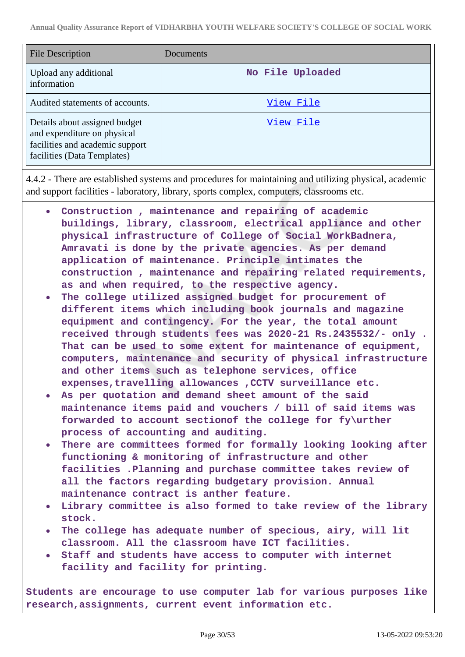| <b>File Description</b>                                                                                                        | Documents        |
|--------------------------------------------------------------------------------------------------------------------------------|------------------|
| Upload any additional<br>information                                                                                           | No File Uploaded |
| Audited statements of accounts.                                                                                                | View File        |
| Details about assigned budget<br>and expenditure on physical<br>facilities and academic support<br>facilities (Data Templates) | View File        |

4.4.2 - There are established systems and procedures for maintaining and utilizing physical, academic and support facilities - laboratory, library, sports complex, computers, classrooms etc.

- **Construction , maintenance and repairing of academic**  $\bullet$ **buildings, library, classroom, electrical appliance and other physical infrastructure of College of Social WorkBadnera, Amravati is done by the private agencies. As per demand application of maintenance. Principle intimates the construction , maintenance and repairing related requirements, as and when required, to the respective agency.**
- **The college utilized assigned budget for procurement of different items which including book journals and magazine equipment and contingency. For the year, the total amount received through students fees was 2020-21 Rs.2435532/- only . That can be used to some extent for maintenance of equipment, computers, maintenance and security of physical infrastructure and other items such as telephone services, office expenses,travelling allowances ,CCTV surveillance etc.**
- **As per quotation and demand sheet amount of the said maintenance items paid and vouchers / bill of said items was forwarded to account sectionof the college for fy\urther process of accounting and auditing.**
- **There are committees formed for formally looking looking after functioning & monitoring of infrastructure and other facilities .Planning and purchase committee takes review of all the factors regarding budgetary provision. Annual maintenance contract is anther feature.**
- **Library committee is also formed to take review of the library stock.**
- **The college has adequate number of specious, airy, will lit classroom. All the classroom have ICT facilities.**
- **Staff and students have access to computer with internet facility and facility for printing.**

**Students are encourage to use computer lab for various purposes like research,assignments, current event information etc.**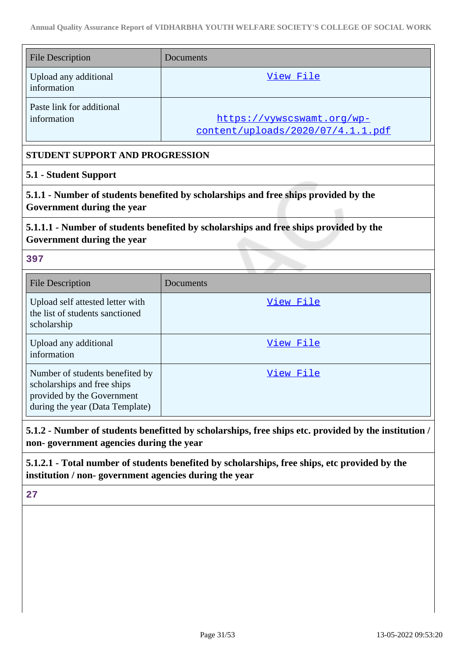| <b>File Description</b>                                                            | Documents                                                                             |  |
|------------------------------------------------------------------------------------|---------------------------------------------------------------------------------------|--|
| Upload any additional<br>information                                               | View File                                                                             |  |
| Paste link for additional<br>information                                           | https://vywscswamt.org/wp-<br>content/uploads/2020/07/4.1.1.pdf                       |  |
| STUDENT SUPPORT AND PROGRESSION                                                    |                                                                                       |  |
| 5.1 - Student Support                                                              |                                                                                       |  |
| Government during the year                                                         | 5.1.1 - Number of students benefited by scholarships and free ships provided by the   |  |
| Government during the year                                                         | 5.1.1.1 - Number of students benefited by scholarships and free ships provided by the |  |
| 397                                                                                |                                                                                       |  |
| <b>File Description</b>                                                            | Documents                                                                             |  |
| Upload self attested letter with<br>the list of students sanctioned<br>scholarship | View File                                                                             |  |
| Upload any additional<br>information                                               | View File                                                                             |  |
| Number of students benefited by<br>scholarships and free ships                     | View File                                                                             |  |

**non- government agencies during the year**

**5.1.2.1 - Total number of students benefited by scholarships, free ships, etc provided by the institution / non- government agencies during the year**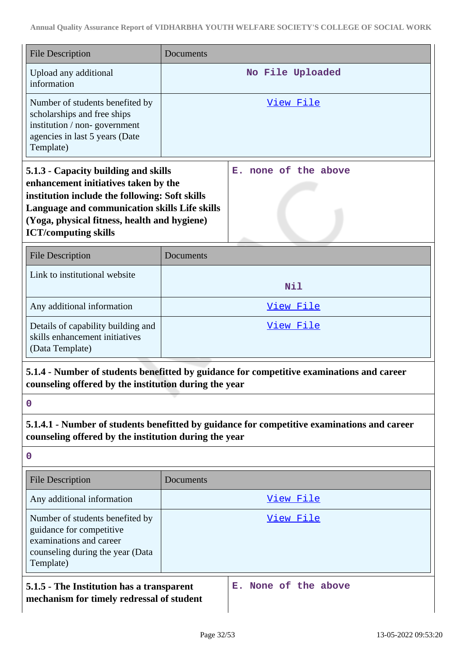| <b>File Description</b>                                                                                                                                                                                                                                        | Documents        |                                                                                             |
|----------------------------------------------------------------------------------------------------------------------------------------------------------------------------------------------------------------------------------------------------------------|------------------|---------------------------------------------------------------------------------------------|
| Upload any additional<br>information                                                                                                                                                                                                                           |                  | No File Uploaded                                                                            |
| Number of students benefited by<br>scholarships and free ships<br>institution / non-government<br>agencies in last 5 years (Date<br>Template)                                                                                                                  |                  | <u>View File</u>                                                                            |
| 5.1.3 - Capacity building and skills<br>enhancement initiatives taken by the<br>institution include the following: Soft skills<br>Language and communication skills Life skills<br>(Yoga, physical fitness, health and hygiene)<br><b>ICT/computing skills</b> |                  | none of the above<br>Е.                                                                     |
| <b>File Description</b>                                                                                                                                                                                                                                        | <b>Documents</b> |                                                                                             |
| Link to institutional website                                                                                                                                                                                                                                  |                  | Nil                                                                                         |
| Any additional information                                                                                                                                                                                                                                     | View File        |                                                                                             |
| Details of capability building and<br>skills enhancement initiatives<br>(Data Template)                                                                                                                                                                        | View File        |                                                                                             |
| counseling offered by the institution during the year                                                                                                                                                                                                          |                  | 5.1.4 - Number of students benefitted by guidance for competitive examinations and career   |
| $\mathbf 0$                                                                                                                                                                                                                                                    |                  |                                                                                             |
| counseling offered by the institution during the year                                                                                                                                                                                                          |                  | 5.1.4.1 - Number of students benefitted by guidance for competitive examinations and career |
| $\mathbf 0$                                                                                                                                                                                                                                                    |                  |                                                                                             |
| <b>File Description</b>                                                                                                                                                                                                                                        | Documents        |                                                                                             |
| Any additional information                                                                                                                                                                                                                                     |                  | View File                                                                                   |
| Number of students benefited by<br>guidance for competitive<br>examinations and career<br>counseling during the year (Data<br>Template)                                                                                                                        |                  | <u>View File</u>                                                                            |
| None of the above<br>5.1.5 - The Institution has a transparent<br>Е.<br>mechanism for timely redressal of student                                                                                                                                              |                  |                                                                                             |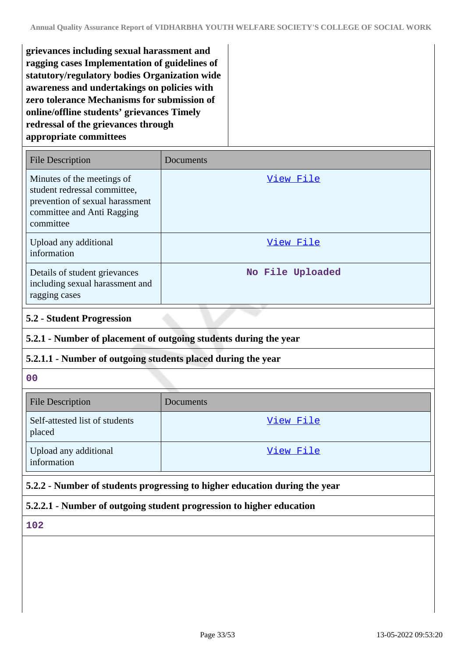**grievances including sexual harassment and ragging cases Implementation of guidelines of statutory/regulatory bodies Organization wide awareness and undertakings on policies with zero tolerance Mechanisms for submission of online/offline students' grievances Timely redressal of the grievances through appropriate committees**

| <b>File Description</b>                                                                                                                  | Documents        |
|------------------------------------------------------------------------------------------------------------------------------------------|------------------|
| Minutes of the meetings of<br>student redressal committee,<br>prevention of sexual harassment<br>committee and Anti Ragging<br>committee | View File        |
| Upload any additional<br>information                                                                                                     | View File        |
| Details of student grievances<br>including sexual harassment and<br>ragging cases                                                        | No File Uploaded |

### **5.2 - Student Progression**

### **5.2.1 - Number of placement of outgoing students during the year**

### **5.2.1.1 - Number of outgoing students placed during the year**

#### **00**

| <b>File Description</b>                  | <b>Documents</b> |
|------------------------------------------|------------------|
| Self-attested list of students<br>placed | View File        |
| Upload any additional<br>information     | View File        |

### **5.2.2 - Number of students progressing to higher education during the year**

### **5.2.2.1 - Number of outgoing student progression to higher education**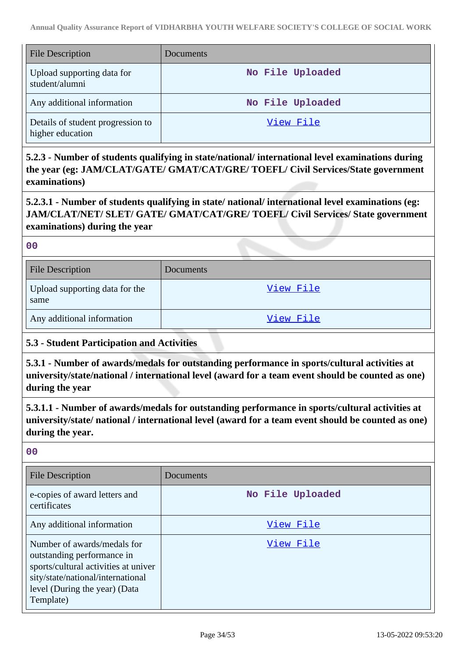| <b>File Description</b>                               | Documents        |
|-------------------------------------------------------|------------------|
| Upload supporting data for<br>student/alumni          | No File Uploaded |
| Any additional information                            | No File Uploaded |
| Details of student progression to<br>higher education | View File        |

**5.2.3 - Number of students qualifying in state/national/ international level examinations during the year (eg: JAM/CLAT/GATE/ GMAT/CAT/GRE/ TOEFL/ Civil Services/State government examinations)**

**5.2.3.1 - Number of students qualifying in state/ national/ international level examinations (eg: JAM/CLAT/NET/ SLET/ GATE/ GMAT/CAT/GRE/ TOEFL/ Civil Services/ State government examinations) during the year**

**00**

| <b>File Description</b>                | <b>Documents</b> |
|----------------------------------------|------------------|
| Upload supporting data for the<br>same | View File        |
| Any additional information             | View File        |

#### **5.3 - Student Participation and Activities**

**5.3.1 - Number of awards/medals for outstanding performance in sports/cultural activities at university/state/national / international level (award for a team event should be counted as one) during the year**

**5.3.1.1 - Number of awards/medals for outstanding performance in sports/cultural activities at university/state/ national / international level (award for a team event should be counted as one) during the year.**

| <b>File Description</b>                                                                                                                                                              | Documents        |
|--------------------------------------------------------------------------------------------------------------------------------------------------------------------------------------|------------------|
| e-copies of award letters and<br>certificates                                                                                                                                        | No File Uploaded |
| Any additional information                                                                                                                                                           | View File        |
| Number of awards/medals for<br>outstanding performance in<br>sports/cultural activities at univer<br>sity/state/national/international<br>level (During the year) (Data<br>Template) | View File        |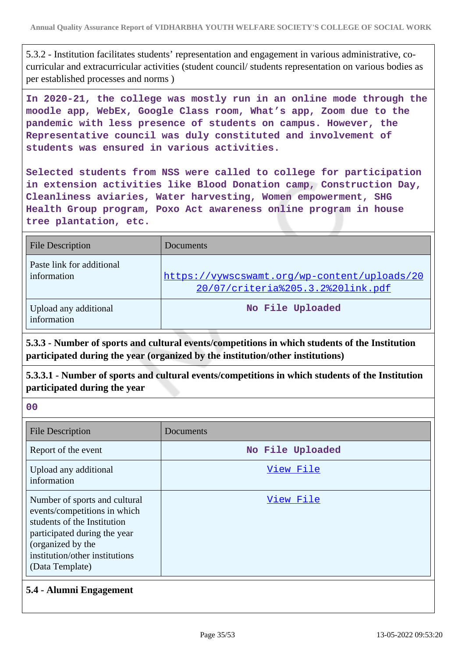5.3.2 - Institution facilitates students' representation and engagement in various administrative, cocurricular and extracurricular activities (student council/ students representation on various bodies as per established processes and norms )

**In 2020-21, the college was mostly run in an online mode through the moodle app, WebEx, Google Class room, What's app, Zoom due to the pandemic with less presence of students on campus. However, the Representative council was duly constituted and involvement of students was ensured in various activities.**

**Selected students from NSS were called to college for participation in extension activities like Blood Donation camp, Construction Day, Cleanliness aviaries, Water harvesting, Women empowerment, SHG Health Group program, Poxo Act awareness online program in house tree plantation, etc.**

| <b>File Description</b>                  | Documents                                                                         |
|------------------------------------------|-----------------------------------------------------------------------------------|
| Paste link for additional<br>information | https://vywscswamt.org/wp-content/uploads/20<br>20/07/criteria%205.3.2%20link.pdf |
| Upload any additional<br>information     | No File Uploaded                                                                  |

**5.3.3 - Number of sports and cultural events/competitions in which students of the Institution participated during the year (organized by the institution/other institutions)**

**5.3.3.1 - Number of sports and cultural events/competitions in which students of the Institution participated during the year**

**00**

| <b>File Description</b>                                                                                                                                                                                | Documents        |
|--------------------------------------------------------------------------------------------------------------------------------------------------------------------------------------------------------|------------------|
| Report of the event                                                                                                                                                                                    | No File Uploaded |
| Upload any additional<br>information                                                                                                                                                                   | View File        |
| Number of sports and cultural<br>events/competitions in which<br>students of the Institution<br>participated during the year<br>(organized by the<br>institution/other institutions<br>(Data Template) | View File        |

### **5.4 - Alumni Engagement**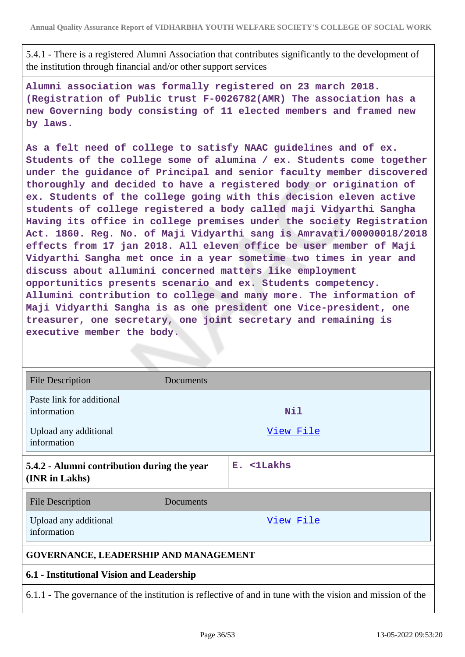5.4.1 - There is a registered Alumni Association that contributes significantly to the development of the institution through financial and/or other support services

**Alumni association was formally registered on 23 march 2018. (Registration of Public trust F-0026782(AMR) The association has a new Governing body consisting of 11 elected members and framed new by laws.**

**As a felt need of college to satisfy NAAC guidelines and of ex. Students of the college some of alumina / ex. Students come together under the guidance of Principal and senior faculty member discovered thoroughly and decided to have a registered body or origination of ex. Students of the college going with this decision eleven active students of college registered a body called maji Vidyarthi Sangha Having its office in college premises under the society Registration Act. 1860. Reg. No. of Maji Vidyarthi sang is Amravati/00000018/2018 effects from 17 jan 2018. All eleven office be user member of Maji Vidyarthi Sangha met once in a year sometime two times in year and discuss about allumini concerned matters like employment opportunitics presents scenario and ex. Students competency. Allumini contribution to college and many more. The information of Maji Vidyarthi Sangha is as one president one Vice-president, one treasurer, one secretary, one joint secretary and remaining is executive member the body.**

| <b>File Description</b>                                                                                   | Documents |            |
|-----------------------------------------------------------------------------------------------------------|-----------|------------|
| Paste link for additional<br>information                                                                  |           | Nil        |
| Upload any additional<br>information                                                                      |           | View File  |
| 5.4.2 - Alumni contribution during the year<br>(INR in Lakhs)                                             |           | E. <1Lakhs |
| <b>File Description</b>                                                                                   | Documents |            |
| Upload any additional<br>information                                                                      |           | View File  |
| <b>GOVERNANCE, LEADERSHIP AND MANAGEMENT</b>                                                              |           |            |
| 6.1 - Institutional Vision and Leadership                                                                 |           |            |
| 6.1.1 - The governance of the institution is reflective of and in tune with the vision and mission of the |           |            |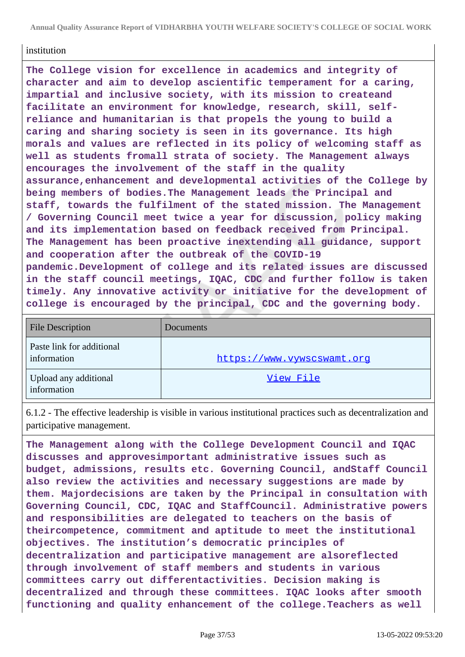**Annual Quality Assurance Report of VIDHARBHA YOUTH WELFARE SOCIETY'S COLLEGE OF SOCIAL WORK**

#### institution

**The College vision for excellence in academics and integrity of character and aim to develop ascientific temperament for a caring, impartial and inclusive society, with its mission to createand facilitate an environment for knowledge, research, skill, selfreliance and humanitarian is that propels the young to build a caring and sharing society is seen in its governance. Its high morals and values are reflected in its policy of welcoming staff as well as students fromall strata of society. The Management always encourages the involvement of the staff in the quality assurance,enhancement and developmental activities of the College by being members of bodies.The Management leads the Principal and staff, towards the fulfilment of the stated mission. The Management / Governing Council meet twice a year for discussion, policy making and its implementation based on feedback received from Principal. The Management has been proactive inextending all guidance, support and cooperation after the outbreak of the COVID-19 pandemic.Development of college and its related issues are discussed in the staff council meetings, IQAC, CDC and further follow is taken timely. Any innovative activity or initiative for the development of college is encouraged by the principal, CDC and the governing body.**

| File Description                         | Documents                  |
|------------------------------------------|----------------------------|
| Paste link for additional<br>information | https://www.vywscswamt.org |
| Upload any additional<br>information     | View File                  |

6.1.2 - The effective leadership is visible in various institutional practices such as decentralization and participative management.

**The Management along with the College Development Council and IQAC discusses and approvesimportant administrative issues such as budget, admissions, results etc. Governing Council, andStaff Council also review the activities and necessary suggestions are made by them. Majordecisions are taken by the Principal in consultation with Governing Council, CDC, IQAC and StaffCouncil. Administrative powers and responsibilities are delegated to teachers on the basis of theircompetence, commitment and aptitude to meet the institutional objectives. The institution's democratic principles of decentralization and participative management are alsoreflected through involvement of staff members and students in various committees carry out differentactivities. Decision making is decentralized and through these committees. IQAC looks after smooth functioning and quality enhancement of the college.Teachers as well**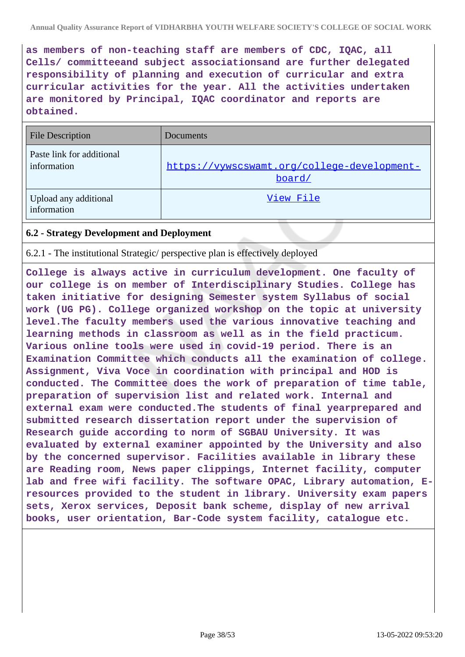**as members of non-teaching staff are members of CDC, IQAC, all Cells/ committeeand subject associationsand are further delegated responsibility of planning and execution of curricular and extra curricular activities for the year. All the activities undertaken are monitored by Principal, IQAC coordinator and reports are obtained.**

| <b>File Description</b>                  | Documents                                             |
|------------------------------------------|-------------------------------------------------------|
| Paste link for additional<br>information | https://vywscswamt.org/college-development-<br>board/ |
| Upload any additional<br>information     | View File                                             |

### **6.2 - Strategy Development and Deployment**

6.2.1 - The institutional Strategic/ perspective plan is effectively deployed

**College is always active in curriculum development. One faculty of our college is on member of Interdisciplinary Studies. College has taken initiative for designing Semester system Syllabus of social work (UG PG). College organized workshop on the topic at university level.The faculty members used the various innovative teaching and learning methods in classroom as well as in the field practicum. Various online tools were used in covid-19 period. There is an Examination Committee which conducts all the examination of college. Assignment, Viva Voce in coordination with principal and HOD is conducted. The Committee does the work of preparation of time table, preparation of supervision list and related work. Internal and external exam were conducted.The students of final yearprepared and submitted research dissertation report under the supervision of Research guide according to norm of SGBAU University. It was evaluated by external examiner appointed by the University and also by the concerned supervisor. Facilities available in library these are Reading room, News paper clippings, Internet facility, computer lab and free wifi facility. The software OPAC, Library automation, Eresources provided to the student in library. University exam papers sets, Xerox services, Deposit bank scheme, display of new arrival books, user orientation, Bar-Code system facility, catalogue etc.**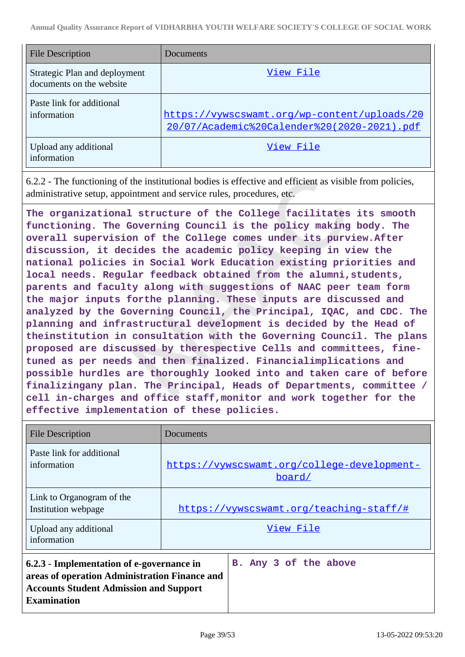| <b>File Description</b>                                   | Documents                                                                                   |
|-----------------------------------------------------------|---------------------------------------------------------------------------------------------|
| Strategic Plan and deployment<br>documents on the website | View File                                                                                   |
| Paste link for additional<br>information                  | https://vywscswamt.org/wp-content/uploads/20<br>20/07/Academic%20Calender%20(2020-2021).pdf |
| Upload any additional<br>information                      | View File                                                                                   |

6.2.2 - The functioning of the institutional bodies is effective and efficient as visible from policies, administrative setup, appointment and service rules, procedures, etc.

**The organizational structure of the College facilitates its smooth functioning. The Governing Council is the policy making body. The overall supervision of the College comes under its purview.After discussion, it decides the academic policy keeping in view the national policies in Social Work Education existing priorities and local needs. Regular feedback obtained from the alumni,students, parents and faculty along with suggestions of NAAC peer team form the major inputs forthe planning. These inputs are discussed and analyzed by the Governing Council, the Principal, IQAC, and CDC. The planning and infrastructural development is decided by the Head of theinstitution in consultation with the Governing Council. The plans proposed are discussed by therespective Cells and committees, finetuned as per needs and then finalized. Financialimplications and possible hurdles are thoroughly looked into and taken care of before finalizingany plan. The Principal, Heads of Departments, committee / cell in-charges and office staff,monitor and work together for the effective implementation of these policies.**

| <b>File Description</b>                                                                                                                                           | Documents                                             |
|-------------------------------------------------------------------------------------------------------------------------------------------------------------------|-------------------------------------------------------|
| Paste link for additional<br>information                                                                                                                          | https://vywscswamt.org/college-development-<br>board/ |
| Link to Organogram of the<br>Institution webpage                                                                                                                  | https://vywscswamt.org/teaching-staff/#               |
| Upload any additional<br>information                                                                                                                              | View File                                             |
| 6.2.3 - Implementation of e-governance in<br>areas of operation Administration Finance and<br><b>Accounts Student Admission and Support</b><br><b>Examination</b> | B. Any 3 of the above                                 |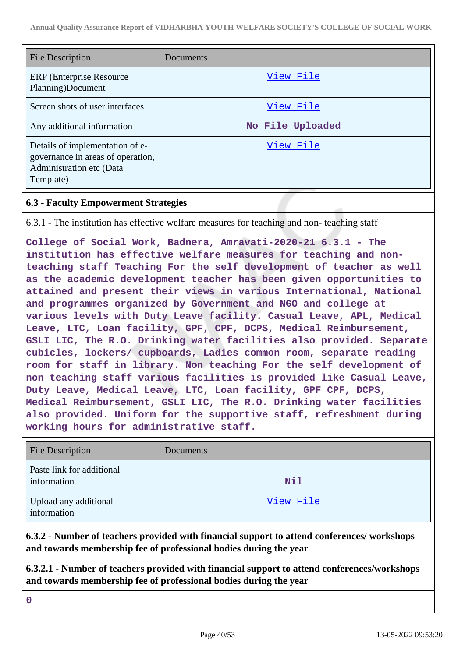| <b>File Description</b>                                                                                       | Documents        |
|---------------------------------------------------------------------------------------------------------------|------------------|
| ERP (Enterprise Resource)<br>Planning)Document                                                                | View File        |
| Screen shots of user interfaces                                                                               | View File        |
| Any additional information                                                                                    | No File Uploaded |
| Details of implementation of e-<br>governance in areas of operation,<br>Administration etc (Data<br>Template) | View File        |

### **6.3 - Faculty Empowerment Strategies**

6.3.1 - The institution has effective welfare measures for teaching and non- teaching staff

**College of Social Work, Badnera, Amravati-2020-21 6.3.1 - The institution has effective welfare measures for teaching and nonteaching staff Teaching For the self development of teacher as well as the academic development teacher has been given opportunities to attained and present their views in various International, National and programmes organized by Government and NGO and college at various levels with Duty Leave facility. Casual Leave, APL, Medical Leave, LTC, Loan facility, GPF, CPF, DCPS, Medical Reimbursement, GSLI LIC, The R.O. Drinking water facilities also provided. Separate cubicles, lockers/ cupboards, Ladies common room, separate reading room for staff in library. Non teaching For the self development of non teaching staff various facilities is provided like Casual Leave, Duty Leave, Medical Leave, LTC, Loan facility, GPF CPF, DCPS, Medical Reimbursement, GSLI LIC, The R.O. Drinking water facilities also provided. Uniform for the supportive staff, refreshment during working hours for administrative staff.**

| <b>File Description</b>                  | Documents  |
|------------------------------------------|------------|
| Paste link for additional<br>information | <b>Nil</b> |
| Upload any additional<br>information     | View File  |

**6.3.2 - Number of teachers provided with financial support to attend conferences/ workshops and towards membership fee of professional bodies during the year**

**6.3.2.1 - Number of teachers provided with financial support to attend conferences/workshops and towards membership fee of professional bodies during the year**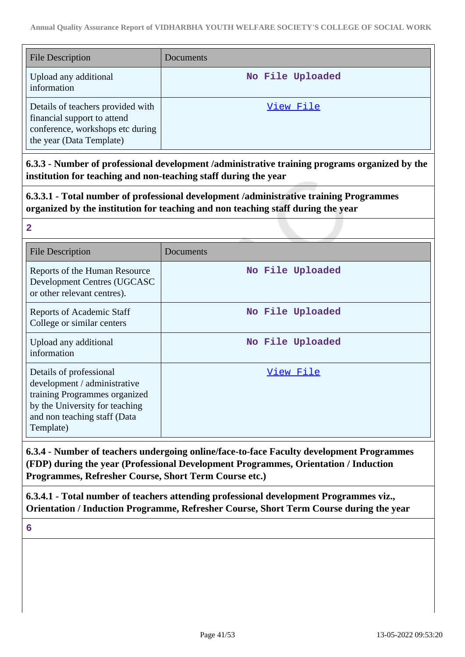| <b>File Description</b>                                                                                                          | <b>Documents</b> |
|----------------------------------------------------------------------------------------------------------------------------------|------------------|
| Upload any additional<br>information                                                                                             | No File Uploaded |
| Details of teachers provided with<br>financial support to attend<br>conference, workshops etc during<br>the year (Data Template) | View File        |

**6.3.3 - Number of professional development /administrative training programs organized by the institution for teaching and non-teaching staff during the year**

**6.3.3.1 - Total number of professional development /administrative training Programmes organized by the institution for teaching and non teaching staff during the year**

| $\overline{2}$                                                                                                                                                          |                  |
|-------------------------------------------------------------------------------------------------------------------------------------------------------------------------|------------------|
| <b>File Description</b>                                                                                                                                                 | Documents        |
| Reports of the Human Resource<br>Development Centres (UGCASC<br>or other relevant centres).                                                                             | No File Uploaded |
| Reports of Academic Staff<br>College or similar centers                                                                                                                 | No File Uploaded |
| Upload any additional<br>information                                                                                                                                    | No File Uploaded |
| Details of professional<br>development / administrative<br>training Programmes organized<br>by the University for teaching<br>and non teaching staff (Data<br>Template) | View File        |

**6.3.4 - Number of teachers undergoing online/face-to-face Faculty development Programmes (FDP) during the year (Professional Development Programmes, Orientation / Induction Programmes, Refresher Course, Short Term Course etc.)**

**6.3.4.1 - Total number of teachers attending professional development Programmes viz., Orientation / Induction Programme, Refresher Course, Short Term Course during the year**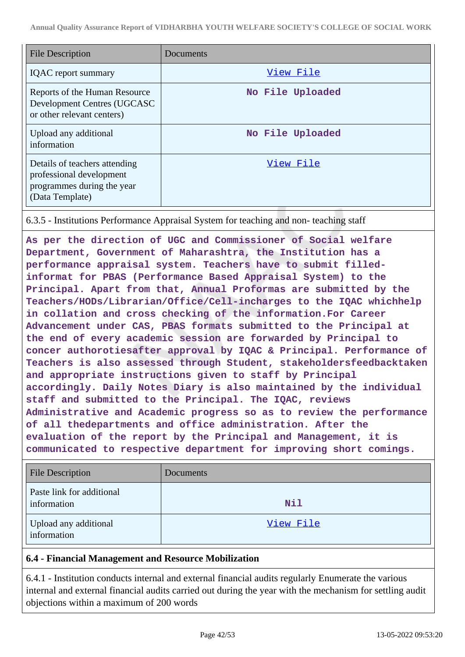| <b>File Description</b>                                                                                    | Documents        |
|------------------------------------------------------------------------------------------------------------|------------------|
| <b>IQAC</b> report summary                                                                                 | View File        |
| Reports of the Human Resource<br>Development Centres (UGCASC<br>or other relevant centers)                 | No File Uploaded |
| Upload any additional<br>information                                                                       | No File Uploaded |
| Details of teachers attending<br>professional development<br>programmes during the year<br>(Data Template) | View File        |

6.3.5 - Institutions Performance Appraisal System for teaching and non- teaching staff

**As per the direction of UGC and Commissioner of Social welfare Department, Government of Maharashtra, the Institution has a performance appraisal system. Teachers have to submit filledinformat for PBAS (Performance Based Appraisal System) to the Principal. Apart from that, Annual Proformas are submitted by the Teachers/HODs/Librarian/Office/Cell-incharges to the IQAC whichhelp in collation and cross checking of the information.For Career Advancement under CAS, PBAS formats submitted to the Principal at the end of every academic session are forwarded by Principal to concer authorotiesafter approval by IQAC & Principal. Performance of Teachers is also assessed through Student, stakeholdersfeedbacktaken and appropriate instructions given to staff by Principal accordingly. Daily Notes Diary is also maintained by the individual staff and submitted to the Principal. The IQAC, reviews Administrative and Academic progress so as to review the performance of all thedepartments and office administration. After the evaluation of the report by the Principal and Management, it is communicated to respective department for improving short comings.**

| <b>File Description</b>                  | Documents  |
|------------------------------------------|------------|
| Paste link for additional<br>information | <b>Nil</b> |
| Upload any additional<br>information     | View File  |

#### **6.4 - Financial Management and Resource Mobilization**

6.4.1 - Institution conducts internal and external financial audits regularly Enumerate the various internal and external financial audits carried out during the year with the mechanism for settling audit objections within a maximum of 200 words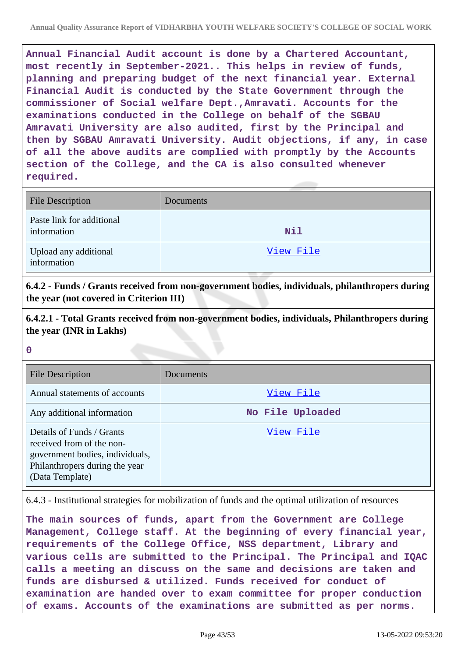**Annual Financial Audit account is done by a Chartered Accountant, most recently in September-2021.. This helps in review of funds, planning and preparing budget of the next financial year. External Financial Audit is conducted by the State Government through the commissioner of Social welfare Dept.,Amravati. Accounts for the examinations conducted in the College on behalf of the SGBAU Amravati University are also audited, first by the Principal and then by SGBAU Amravati University. Audit objections, if any, in case of all the above audits are complied with promptly by the Accounts section of the College, and the CA is also consulted whenever required.**

| <b>File Description</b>                  | Documents |
|------------------------------------------|-----------|
| Paste link for additional<br>information | Nil       |
| Upload any additional<br>information     | View File |

**6.4.2 - Funds / Grants received from non-government bodies, individuals, philanthropers during the year (not covered in Criterion III)**

**6.4.2.1 - Total Grants received from non-government bodies, individuals, Philanthropers during the year (INR in Lakhs)**

**0**

| <b>File Description</b>                                                                                                                        | Documents        |
|------------------------------------------------------------------------------------------------------------------------------------------------|------------------|
| Annual statements of accounts                                                                                                                  | View File        |
| Any additional information                                                                                                                     | No File Uploaded |
| Details of Funds / Grants<br>received from of the non-<br>government bodies, individuals,<br>Philanthropers during the year<br>(Data Template) | View File        |

6.4.3 - Institutional strategies for mobilization of funds and the optimal utilization of resources

**The main sources of funds, apart from the Government are College Management, College staff. At the beginning of every financial year, requirements of the College Office, NSS department, Library and various cells are submitted to the Principal. The Principal and IQAC calls a meeting an discuss on the same and decisions are taken and funds are disbursed & utilized. Funds received for conduct of examination are handed over to exam committee for proper conduction of exams. Accounts of the examinations are submitted as per norms.**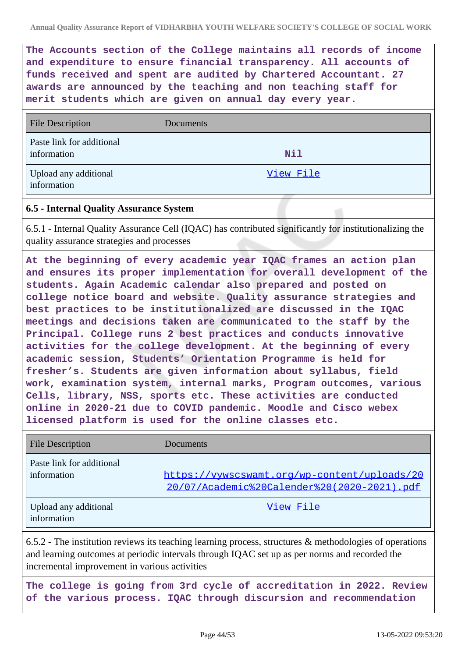**The Accounts section of the College maintains all records of income and expenditure to ensure financial transparency. All accounts of funds received and spent are audited by Chartered Accountant. 27 awards are announced by the teaching and non teaching staff for merit students which are given on annual day every year.**

| <b>File Description</b>                  | Documents |
|------------------------------------------|-----------|
| Paste link for additional<br>information | Nil       |
| Upload any additional<br>information     | View File |

### **6.5 - Internal Quality Assurance System**

6.5.1 - Internal Quality Assurance Cell (IQAC) has contributed significantly for institutionalizing the quality assurance strategies and processes

**At the beginning of every academic year IQAC frames an action plan and ensures its proper implementation for overall development of the students. Again Academic calendar also prepared and posted on college notice board and website. Quality assurance strategies and best practices to be institutionalized are discussed in the IQAC meetings and decisions taken are communicated to the staff by the Principal. College runs 2 best practices and conducts innovative activities for the college development. At the beginning of every academic session, Students' Orientation Programme is held for fresher's. Students are given information about syllabus, field work, examination system, internal marks, Program outcomes, various Cells, library, NSS, sports etc. These activities are conducted online in 2020-21 due to COVID pandemic. Moodle and Cisco webex licensed platform is used for the online classes etc.**

| <b>File Description</b>                  | Documents                                                                                   |
|------------------------------------------|---------------------------------------------------------------------------------------------|
| Paste link for additional<br>information | https://vywscswamt.org/wp-content/uploads/20<br>20/07/Academic%20Calender%20(2020-2021).pdf |
| Upload any additional<br>information     | View File                                                                                   |

6.5.2 - The institution reviews its teaching learning process, structures & methodologies of operations and learning outcomes at periodic intervals through IQAC set up as per norms and recorded the incremental improvement in various activities

**The college is going from 3rd cycle of accreditation in 2022. Review of the various process. IQAC through discursion and recommendation**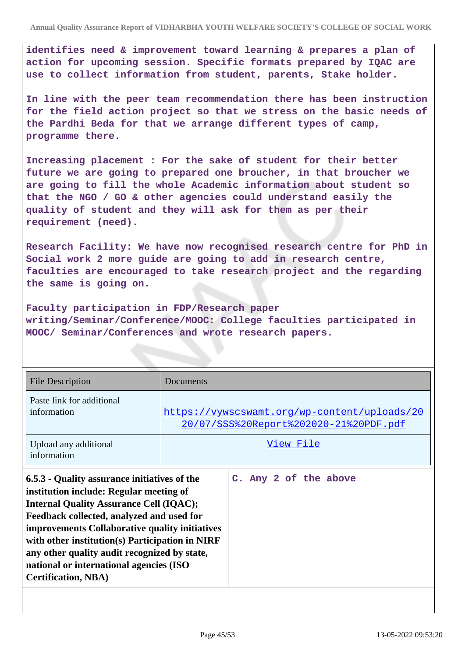**identifies need & improvement toward learning & prepares a plan of action for upcoming session. Specific formats prepared by IQAC are use to collect information from student, parents, Stake holder.**

**In line with the peer team recommendation there has been instruction for the field action project so that we stress on the basic needs of the Pardhi Beda for that we arrange different types of camp, programme there.**

**Increasing placement : For the sake of student for their better future we are going to prepared one broucher, in that broucher we are going to fill the whole Academic information about student so that the NGO / GO & other agencies could understand easily the quality of student and they will ask for them as per their requirement (need).**

**Research Facility: We have now recognised research centre for PhD in Social work 2 more guide are going to add in research centre, faculties are encouraged to take research project and the regarding the same is going on.**

**Faculty participation in FDP/Research paper writing/Seminar/Conference/MOOC: College faculties participated in MOOC/ Seminar/Conferences and wrote research papers.**

| <b>File Description</b>                                                                                                                                                                                                                                                                                                                                                                                              | Documents                                                                                     |                       |  |  |  |
|----------------------------------------------------------------------------------------------------------------------------------------------------------------------------------------------------------------------------------------------------------------------------------------------------------------------------------------------------------------------------------------------------------------------|-----------------------------------------------------------------------------------------------|-----------------------|--|--|--|
| Paste link for additional<br>information                                                                                                                                                                                                                                                                                                                                                                             |                                                                                               |                       |  |  |  |
|                                                                                                                                                                                                                                                                                                                                                                                                                      | https://vywscswamt.org/wp-content/uploads/20<br><u>20/07/SSS%20Report%202020-21%20PDF.pdf</u> |                       |  |  |  |
| Upload any additional<br>information                                                                                                                                                                                                                                                                                                                                                                                 | View File                                                                                     |                       |  |  |  |
| 6.5.3 - Quality assurance initiatives of the<br>institution include: Regular meeting of<br><b>Internal Quality Assurance Cell (IQAC);</b><br>Feedback collected, analyzed and used for<br>improvements Collaborative quality initiatives<br>with other institution(s) Participation in NIRF<br>any other quality audit recognized by state,<br>national or international agencies (ISO<br><b>Certification, NBA)</b> |                                                                                               | C. Any 2 of the above |  |  |  |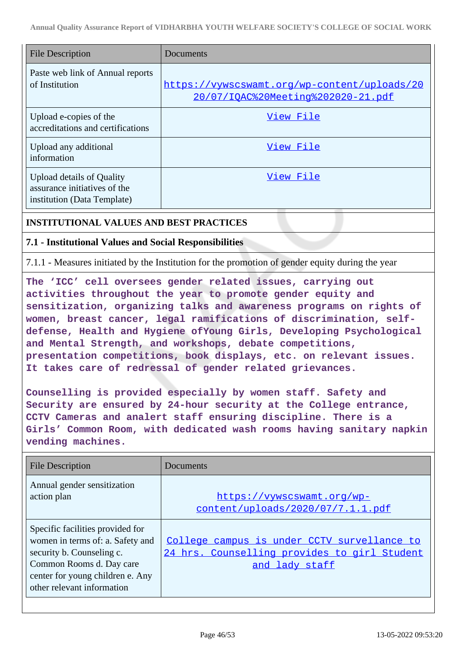| <b>File Description</b>                                                                  | Documents                                                                          |
|------------------------------------------------------------------------------------------|------------------------------------------------------------------------------------|
| Paste web link of Annual reports<br>of Institution                                       | https://vywscswamt.org/wp-content/uploads/20<br>20/07/IOAC%20Meeting%202020-21.pdf |
| Upload e-copies of the<br>accreditations and certifications                              | View File                                                                          |
| Upload any additional<br>information                                                     | View File                                                                          |
| Upload details of Quality<br>assurance initiatives of the<br>institution (Data Template) | View File                                                                          |

#### **INSTITUTIONAL VALUES AND BEST PRACTICES**

#### **7.1 - Institutional Values and Social Responsibilities**

7.1.1 - Measures initiated by the Institution for the promotion of gender equity during the year

**The 'ICC' cell oversees gender related issues, carrying out activities throughout the year to promote gender equity and sensitization, organizing talks and awareness programs on rights of women, breast cancer, legal ramifications of discrimination, selfdefense, Health and Hygiene ofYoung Girls, Developing Psychological and Mental Strength, and workshops, debate competitions, presentation competitions, book displays, etc. on relevant issues. It takes care of redressal of gender related grievances.**

**Counselling is provided especially by women staff. Safety and Security are ensured by 24-hour security at the College entrance, CCTV Cameras and analert staff ensuring discipline. There is a Girls' Common Room, with dedicated wash rooms having sanitary napkin vending machines.**

| <b>File Description</b>                                                                                                                                                                         | Documents                                                                                                     |
|-------------------------------------------------------------------------------------------------------------------------------------------------------------------------------------------------|---------------------------------------------------------------------------------------------------------------|
| Annual gender sensitization<br>action plan                                                                                                                                                      | https://vywscswamt.org/wp-<br>content/uploads/2020/07/7.1.1.pdf                                               |
| Specific facilities provided for<br>women in terms of: a. Safety and<br>security b. Counseling c.<br>Common Rooms d. Day care<br>center for young children e. Any<br>other relevant information | College campus is under CCTV survellance to<br>24 hrs. Counselling provides to girl Student<br>and lady staff |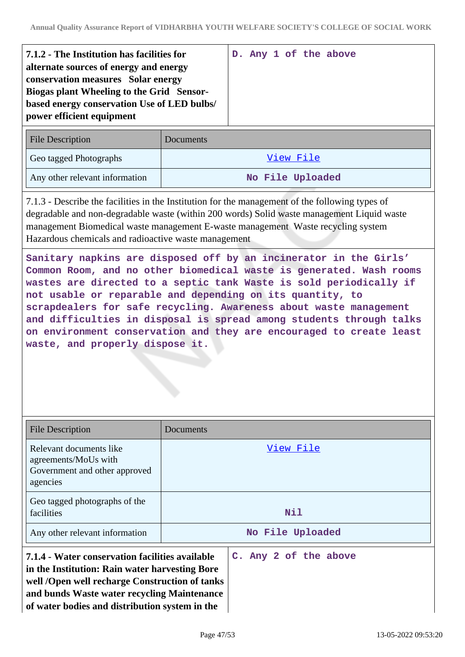| 7.1.2 - The Institution has facilities for<br>alternate sources of energy and energy                                                                        |           |  |  | D. Any 1 of the above |
|-------------------------------------------------------------------------------------------------------------------------------------------------------------|-----------|--|--|-----------------------|
| conservation measures Solar energy<br>Biogas plant Wheeling to the Grid Sensor-<br>based energy conservation Use of LED bulbs/<br>power efficient equipment |           |  |  |                       |
| <b>File Description</b>                                                                                                                                     | Documents |  |  |                       |

| <b>FILE DESCRIPTION</b>        | D'OCUMENTS       |
|--------------------------------|------------------|
| Geo tagged Photographs         | View File        |
| Any other relevant information | No File Uploaded |

7.1.3 - Describe the facilities in the Institution for the management of the following types of degradable and non-degradable waste (within 200 words) Solid waste management Liquid waste management Biomedical waste management E-waste management Waste recycling system Hazardous chemicals and radioactive waste management

**Sanitary napkins are disposed off by an incinerator in the Girls' Common Room, and no other biomedical waste is generated. Wash rooms wastes are directed to a septic tank Waste is sold periodically if not usable or reparable and depending on its quantity, to scrapdealers for safe recycling. Awareness about waste management and difficulties in disposal is spread among students through talks on environment conservation and they are encouraged to create least waste, and properly dispose it.**

| <b>File Description</b>                                                                                                                                                                                                                              | Documents             |  |  |  |  |  |
|------------------------------------------------------------------------------------------------------------------------------------------------------------------------------------------------------------------------------------------------------|-----------------------|--|--|--|--|--|
| Relevant documents like<br>agreements/MoUs with<br>Government and other approved<br>agencies                                                                                                                                                         | View File             |  |  |  |  |  |
| Geo tagged photographs of the<br>facilities                                                                                                                                                                                                          | Nil                   |  |  |  |  |  |
| Any other relevant information                                                                                                                                                                                                                       | No File Uploaded      |  |  |  |  |  |
| 7.1.4 - Water conservation facilities available<br>in the Institution: Rain water harvesting Bore<br>well /Open well recharge Construction of tanks<br>and bunds Waste water recycling Maintenance<br>of water bodies and distribution system in the | C. Any 2 of the above |  |  |  |  |  |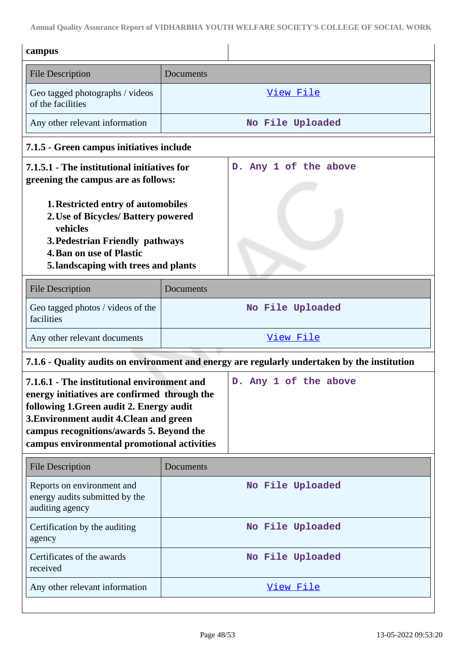**Annual Quality Assurance Report of VIDHARBHA YOUTH WELFARE SOCIETY'S COLLEGE OF SOCIAL WORK**

| campus                                                                                                                                                                                                                                                                                          |                  |                                                                                              |  |  |
|-------------------------------------------------------------------------------------------------------------------------------------------------------------------------------------------------------------------------------------------------------------------------------------------------|------------------|----------------------------------------------------------------------------------------------|--|--|
| <b>File Description</b>                                                                                                                                                                                                                                                                         | Documents        |                                                                                              |  |  |
| Geo tagged photographs / videos<br>of the facilities                                                                                                                                                                                                                                            | View File        |                                                                                              |  |  |
| Any other relevant information                                                                                                                                                                                                                                                                  | No File Uploaded |                                                                                              |  |  |
| 7.1.5 - Green campus initiatives include                                                                                                                                                                                                                                                        |                  |                                                                                              |  |  |
| 7.1.5.1 - The institutional initiatives for<br>greening the campus are as follows:<br><b>1. Restricted entry of automobiles</b><br>2. Use of Bicycles/ Battery powered<br>vehicles<br>3. Pedestrian Friendly pathways<br><b>4. Ban on use of Plastic</b><br>5.landscaping with trees and plants |                  | Any 1 of the above<br>$D_{\bullet}$                                                          |  |  |
| <b>File Description</b>                                                                                                                                                                                                                                                                         | Documents        |                                                                                              |  |  |
| Geo tagged photos / videos of the<br>facilities                                                                                                                                                                                                                                                 |                  | No File Uploaded                                                                             |  |  |
| Any other relevant documents                                                                                                                                                                                                                                                                    | View File        |                                                                                              |  |  |
|                                                                                                                                                                                                                                                                                                 |                  | 7.1.6 - Quality audits on environment and energy are regularly undertaken by the institution |  |  |
| 7.1.6.1 - The institutional environment and<br>energy initiatives are confirmed through the<br>following 1. Green audit 2. Energy audit<br>3. Environment audit 4. Clean and green<br>campus recognitions/awards 5. Beyond the<br>campus environmental promotional activities                   |                  | D. Any 1 of the above                                                                        |  |  |
| <b>File Description</b>                                                                                                                                                                                                                                                                         | Documents        |                                                                                              |  |  |
| Reports on environment and<br>energy audits submitted by the<br>auditing agency                                                                                                                                                                                                                 |                  | No File Uploaded                                                                             |  |  |
| Certification by the auditing<br>agency                                                                                                                                                                                                                                                         | No File Uploaded |                                                                                              |  |  |
| Certificates of the awards<br>received                                                                                                                                                                                                                                                          | No File Uploaded |                                                                                              |  |  |
| Any other relevant information                                                                                                                                                                                                                                                                  |                  | View File                                                                                    |  |  |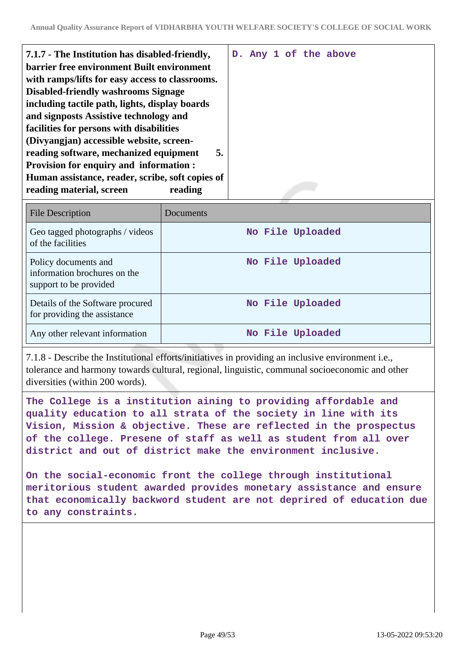| 7.1.7 - The Institution has disabled-friendly,<br>barrier free environment Built environment<br>with ramps/lifts for easy access to classrooms.<br><b>Disabled-friendly washrooms Signage</b><br>including tactile path, lights, display boards<br>and signposts Assistive technology and |  |  | D. Any 1 of the above |
|-------------------------------------------------------------------------------------------------------------------------------------------------------------------------------------------------------------------------------------------------------------------------------------------|--|--|-----------------------|
| facilities for persons with disabilities<br>(Divyangjan) accessible website, screen-<br>reading software, mechanized equipment<br>5.<br><b>Provision for enquiry and information:</b><br>Human assistance, reader, scribe, soft copies of<br>reading material, screen<br>reading          |  |  |                       |

| <b>File Description</b>                                                        | Documents        |
|--------------------------------------------------------------------------------|------------------|
| Geo tagged photographs / videos<br>of the facilities                           | No File Uploaded |
| Policy documents and<br>information brochures on the<br>support to be provided | No File Uploaded |
| Details of the Software procured<br>for providing the assistance               | No File Uploaded |
| Any other relevant information                                                 | No File Uploaded |

7.1.8 - Describe the Institutional efforts/initiatives in providing an inclusive environment i.e., tolerance and harmony towards cultural, regional, linguistic, communal socioeconomic and other diversities (within 200 words).

**The College is a institution aining to providing affordable and quality education to all strata of the society in line with its Vision, Mission & objective. These are reflected in the prospectus of the college. Presene of staff as well as student from all over district and out of district make the environment inclusive.**

**On the social-economic front the college through institutional meritorious student awarded provides monetary assistance and ensure that economically backword student are not deprired of education due to any constraints.**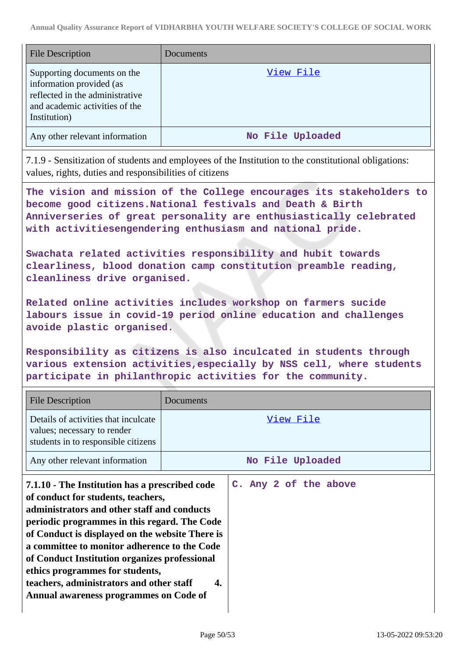| <b>File Description</b>                                                                                                                      | Documents        |
|----------------------------------------------------------------------------------------------------------------------------------------------|------------------|
| Supporting documents on the<br>information provided (as<br>reflected in the administrative<br>and academic activities of the<br>Institution) | <u>View File</u> |
| Any other relevant information                                                                                                               | No File Uploaded |

7.1.9 - Sensitization of students and employees of the Institution to the constitutional obligations: values, rights, duties and responsibilities of citizens

**The vision and mission of the College encourages its stakeholders to become good citizens.National festivals and Death & Birth Anniverseries of great personality are enthusiastically celebrated with activitiesengendering enthusiasm and national pride.**

**Swachata related activities responsibility and hubit towards clearliness, blood donation camp constitution preamble reading, cleanliness drive organised.**

**Related online activities includes workshop on farmers sucide labours issue in covid-19 period online education and challenges avoide plastic organised.**

**Responsibility as citizens is also inculcated in students through various extension activities,especially by NSS cell, where students participate in philanthropic activities for the community.**

| <b>File Description</b>                                                                                                                                                                                                                                                                                                                                                                                                                                          | Documents                   |  |  |  |  |
|------------------------------------------------------------------------------------------------------------------------------------------------------------------------------------------------------------------------------------------------------------------------------------------------------------------------------------------------------------------------------------------------------------------------------------------------------------------|-----------------------------|--|--|--|--|
| Details of activities that inculcate<br>values; necessary to render<br>students in to responsible citizens                                                                                                                                                                                                                                                                                                                                                       | View File                   |  |  |  |  |
| Any other relevant information                                                                                                                                                                                                                                                                                                                                                                                                                                   | No File Uploaded            |  |  |  |  |
| 7.1.10 - The Institution has a prescribed code<br>of conduct for students, teachers,<br>administrators and other staff and conducts<br>periodic programmes in this regard. The Code<br>of Conduct is displayed on the website There is<br>a committee to monitor adherence to the Code<br>of Conduct Institution organizes professional<br>ethics programmes for students,<br>teachers, administrators and other staff<br>Annual awareness programmes on Code of | C. Any 2 of the above<br>4. |  |  |  |  |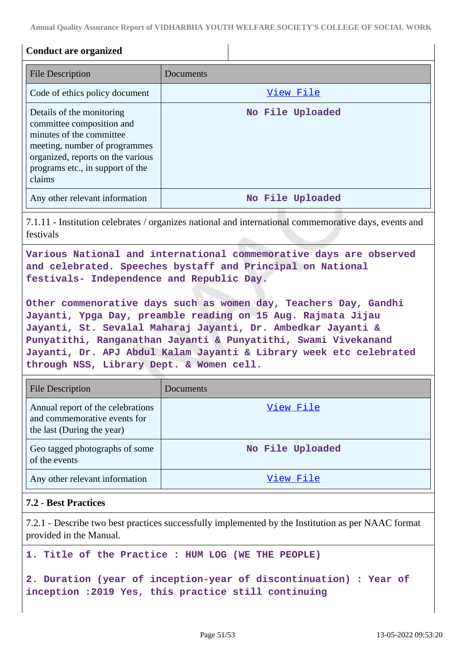**Annual Quality Assurance Report of VIDHARBHA YOUTH WELFARE SOCIETY'S COLLEGE OF SOCIAL WORK**

| <b>Conduct are organized</b>                                                                                                                                                                                                                                                                                                                                                                                                                                                                                                                                          |                  |  |
|-----------------------------------------------------------------------------------------------------------------------------------------------------------------------------------------------------------------------------------------------------------------------------------------------------------------------------------------------------------------------------------------------------------------------------------------------------------------------------------------------------------------------------------------------------------------------|------------------|--|
| <b>File Description</b>                                                                                                                                                                                                                                                                                                                                                                                                                                                                                                                                               | Documents        |  |
| Code of ethics policy document                                                                                                                                                                                                                                                                                                                                                                                                                                                                                                                                        | View File        |  |
| Details of the monitoring<br>committee composition and<br>minutes of the committee<br>meeting, number of programmes<br>organized, reports on the various<br>programs etc., in support of the<br>claims                                                                                                                                                                                                                                                                                                                                                                | No File Uploaded |  |
| Any other relevant information                                                                                                                                                                                                                                                                                                                                                                                                                                                                                                                                        | No File Uploaded |  |
| 7.1.11 - Institution celebrates / organizes national and international commemorative days, events and<br>festivals                                                                                                                                                                                                                                                                                                                                                                                                                                                    |                  |  |
| Various National and international commemorative days are observed<br>and celebrated. Speeches bystaff and Principal on National<br>festivals- Independence and Republic Day.<br>Other commenorative days such as women day, Teachers Day, Gandhi<br>Jayanti, Ypga Day, preamble reading on 15 Aug. Rajmata Jijau<br>Jayanti, St. Sevalal Maharaj Jayanti, Dr. Ambedkar Jayanti &<br>Punyatithi, Ranganathan Jayanti & Punyatithi, Swami Vivekanand<br>Jayanti, Dr. APJ Abdul Kalam Jayanti & Library week etc celebrated<br>through NSS, Library Dept. & Women cell. |                  |  |
| <b>File Description</b>                                                                                                                                                                                                                                                                                                                                                                                                                                                                                                                                               | Documents        |  |
| Annual report of the celebrations<br>and commemorative events for<br>the last (During the year)                                                                                                                                                                                                                                                                                                                                                                                                                                                                       | <u>View File</u> |  |
| Geo tagged photographs of some<br>of the events                                                                                                                                                                                                                                                                                                                                                                                                                                                                                                                       | No File Uploaded |  |
| Any other relevant information                                                                                                                                                                                                                                                                                                                                                                                                                                                                                                                                        | View File        |  |
| <b>7.2 - Best Practices</b>                                                                                                                                                                                                                                                                                                                                                                                                                                                                                                                                           |                  |  |
| 7.2.1 - Describe two best practices successfully implemented by the Institution as per NAAC format<br>provided in the Manual.                                                                                                                                                                                                                                                                                                                                                                                                                                         |                  |  |
| 1. Title of the Practice : HUM LOG (WE THE PEOPLE)                                                                                                                                                                                                                                                                                                                                                                                                                                                                                                                    |                  |  |
| 2. Duration (year of inception-year of discontinuation) : Year of                                                                                                                                                                                                                                                                                                                                                                                                                                                                                                     |                  |  |

**inception :2019 Yes, this practice still continuing**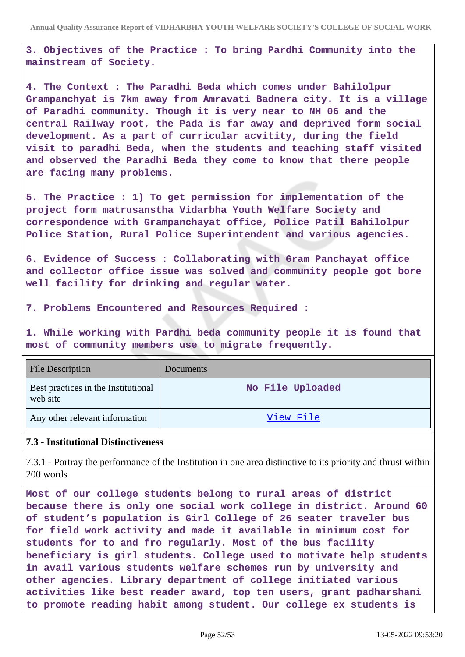**3. Objectives of the Practice : To bring Pardhi Community into the mainstream of Society.**

**4. The Context : The Paradhi Beda which comes under Bahilolpur Grampanchyat is 7km away from Amravati Badnera city. It is a village of Paradhi community. Though it is very near to NH 06 and the central Railway root, the Pada is far away and deprived form social development. As a part of curricular acvitity, during the field visit to paradhi Beda, when the students and teaching staff visited and observed the Paradhi Beda they come to know that there people are facing many problems.**

**5. The Practice : 1) To get permission for implementation of the project form matrusanstha Vidarbha Youth Welfare Society and correspondence with Grampanchayat office, Police Patil Bahilolpur Police Station, Rural Police Superintendent and various agencies.**

**6. Evidence of Success : Collaborating with Gram Panchayat office and collector office issue was solved and community people got bore well facility for drinking and regular water.**

**7. Problems Encountered and Resources Required :**

**1. While working with Pardhi beda community people it is found that most of community members use to migrate frequently.**

| <b>File Description</b>                         | <b>Documents</b> |
|-------------------------------------------------|------------------|
| Best practices in the Institutional<br>web site | No File Uploaded |
| Any other relevant information                  | View File        |

#### **7.3 - Institutional Distinctiveness**

7.3.1 - Portray the performance of the Institution in one area distinctive to its priority and thrust within 200 words

**Most of our college students belong to rural areas of district because there is only one social work college in district. Around 60 of student's population is Girl College of 26 seater traveler bus for field work activity and made it available in minimum cost for students for to and fro regularly. Most of the bus facility beneficiary is girl students. College used to motivate help students in avail various students welfare schemes run by university and other agencies. Library department of college initiated various activities like best reader award, top ten users, grant padharshani to promote reading habit among student. Our college ex students is**